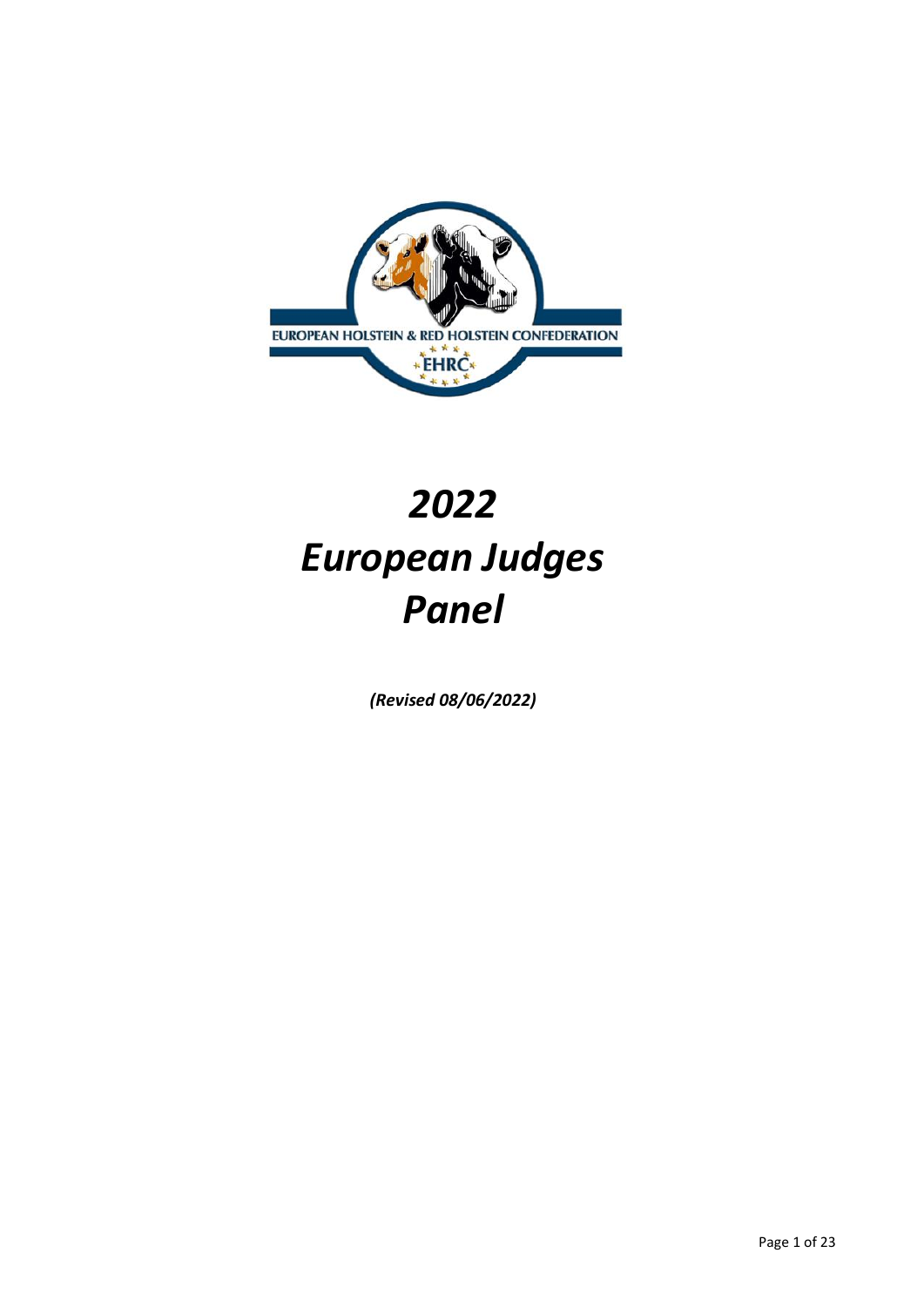

# *2022 European Judges Panel*

*(Revised 08/06/2022)*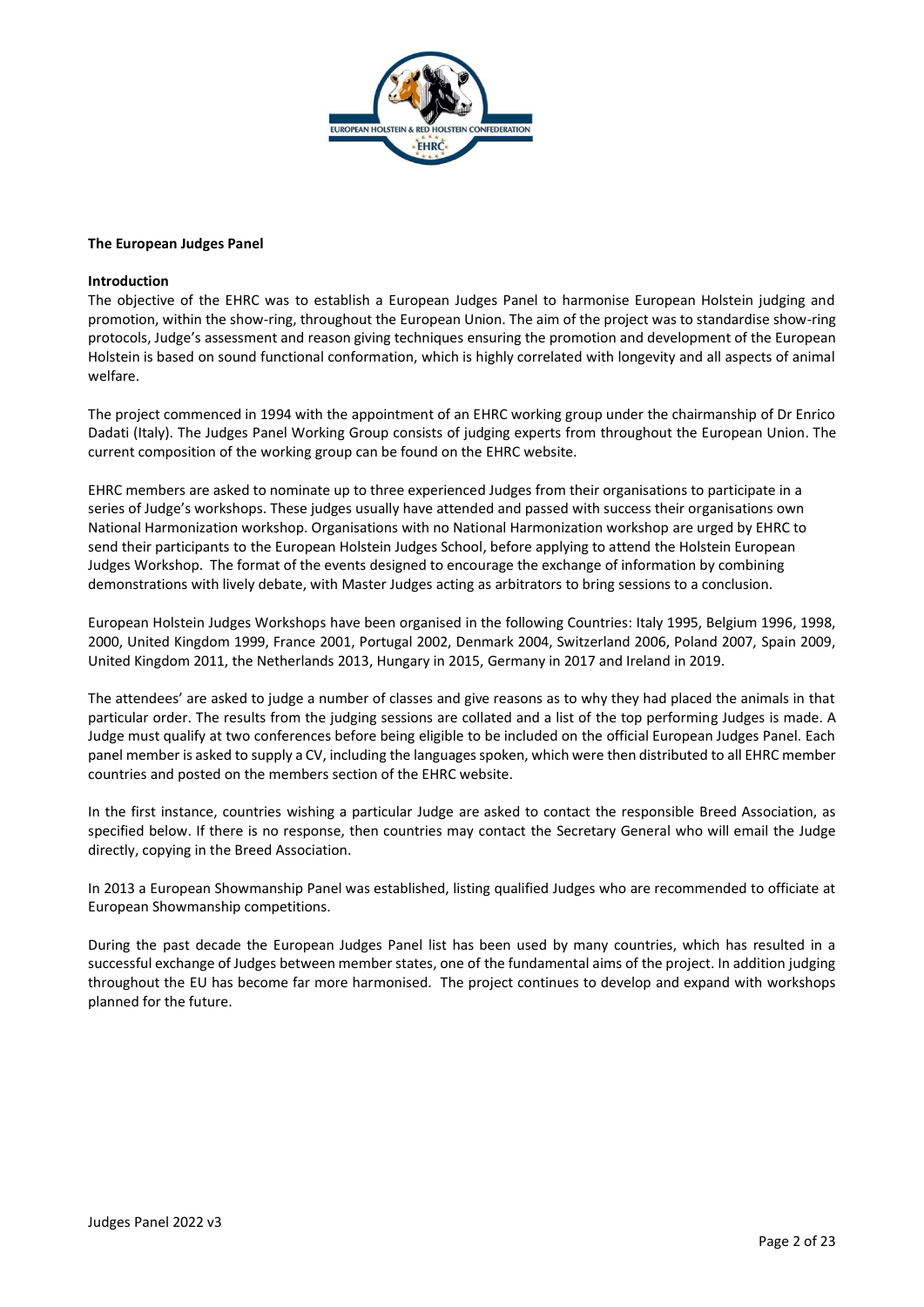

## **The European Judges Panel**

## **Introduction**

The objective of the EHRC was to establish a European Judges Panel to harmonise European Holstein judging and promotion, within the show-ring, throughout the European Union. The aim of the project was to standardise show-ring protocols, Judge's assessment and reason giving techniques ensuring the promotion and development of the European Holstein is based on sound functional conformation, which is highly correlated with longevity and all aspects of animal welfare.

The project commenced in 1994 with the appointment of an EHRC working group under the chairmanship of Dr Enrico Dadati (Italy). The Judges Panel Working Group consists of judging experts from throughout the European Union. The current composition of the working group can be found on the EHRC website.

EHRC members are asked to nominate up to three experienced Judges from their organisations to participate in a series of Judge's workshops. These judges usually have attended and passed with success their organisations own National Harmonization workshop. Organisations with no National Harmonization workshop are urged by EHRC to send their participants to the European Holstein Judges School, before applying to attend the Holstein European Judges Workshop. The format of the events designed to encourage the exchange of information by combining demonstrations with lively debate, with Master Judges acting as arbitrators to bring sessions to a conclusion.

European Holstein Judges Workshops have been organised in the following Countries: Italy 1995, Belgium 1996, 1998, 2000, United Kingdom 1999, France 2001, Portugal 2002, Denmark 2004, Switzerland 2006, Poland 2007, Spain 2009, United Kingdom 2011, the Netherlands 2013, Hungary in 2015, Germany in 2017 and Ireland in 2019.

The attendees' are asked to judge a number of classes and give reasons as to why they had placed the animals in that particular order. The results from the judging sessions are collated and a list of the top performing Judges is made. A Judge must qualify at two conferences before being eligible to be included on the official European Judges Panel. Each panel member is asked to supply a CV, including the languages spoken, which were then distributed to all EHRC member countries and posted on the members section of the EHRC website.

In the first instance, countries wishing a particular Judge are asked to contact the responsible Breed Association, as specified below. If there is no response, then countries may contact the Secretary General who will email the Judge directly, copying in the Breed Association.

In 2013 a European Showmanship Panel was established, listing qualified Judges who are recommended to officiate at European Showmanship competitions.

During the past decade the European Judges Panel list has been used by many countries, which has resulted in a successful exchange of Judges between member states, one of the fundamental aims of the project. In addition judging throughout the EU has become far more harmonised. The project continues to develop and expand with workshops planned for the future.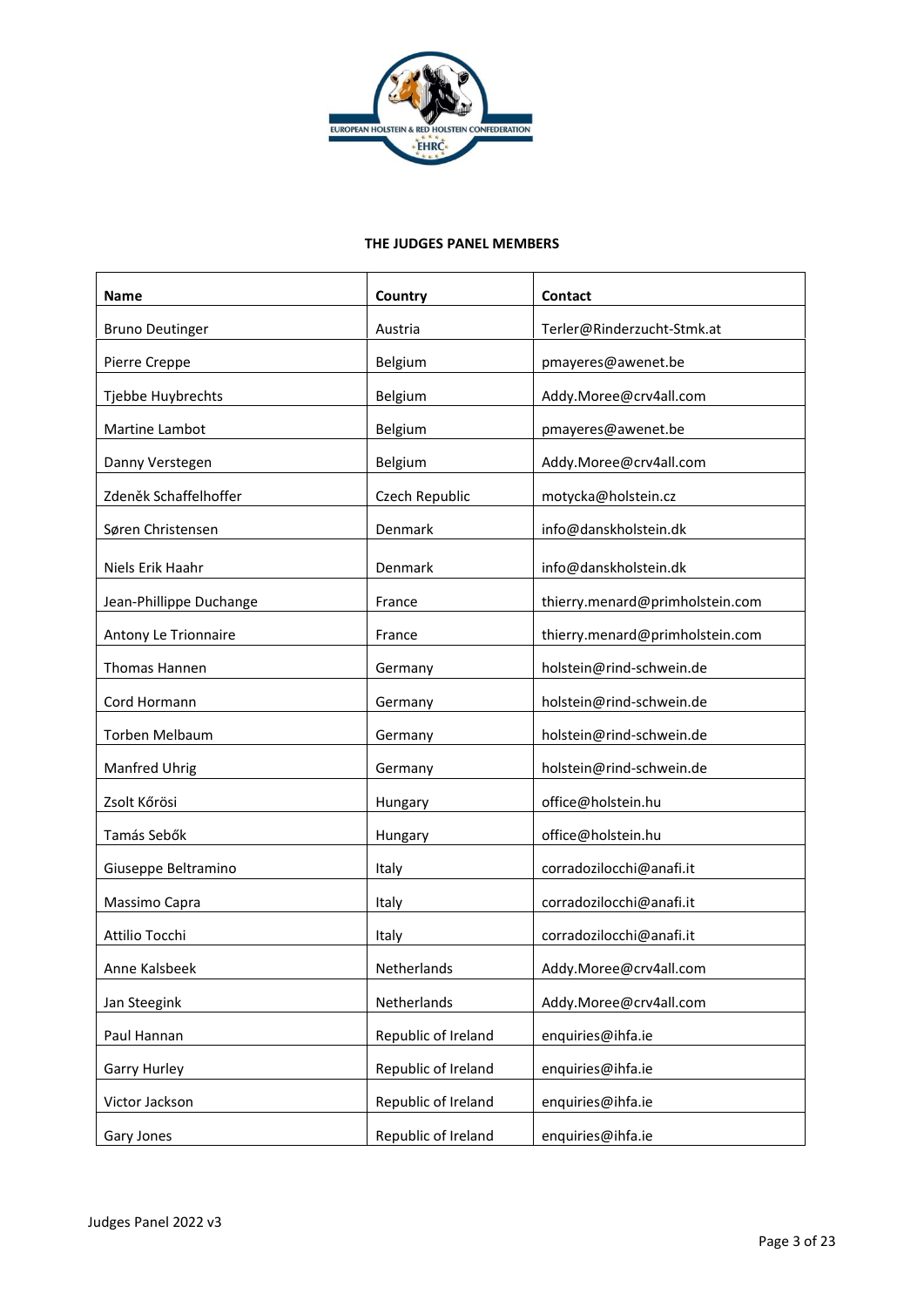

## **THE JUDGES PANEL MEMBERS**

| <b>Name</b>             | Country             | Contact                         |
|-------------------------|---------------------|---------------------------------|
| <b>Bruno Deutinger</b>  | Austria             | Terler@Rinderzucht-Stmk.at      |
| Pierre Creppe           | Belgium             | pmayeres@awenet.be              |
| Tjebbe Huybrechts       | Belgium             | Addy.Moree@crv4all.com          |
| Martine Lambot          | Belgium             | pmayeres@awenet.be              |
| Danny Verstegen         | Belgium             | Addy.Moree@crv4all.com          |
| Zdeněk Schaffelhoffer   | Czech Republic      | motycka@holstein.cz             |
| Søren Christensen       | Denmark             | info@danskholstein.dk           |
| Niels Erik Haahr        | Denmark             | info@danskholstein.dk           |
| Jean-Phillippe Duchange | France              | thierry.menard@primholstein.com |
| Antony Le Trionnaire    | France              | thierry.menard@primholstein.com |
| <b>Thomas Hannen</b>    | Germany             | holstein@rind-schwein.de        |
| Cord Hormann            | Germany             | holstein@rind-schwein.de        |
| Torben Melbaum          | Germany             | holstein@rind-schwein.de        |
| Manfred Uhrig           | Germany             | holstein@rind-schwein.de        |
| Zsolt Kőrösi            | Hungary             | office@holstein.hu              |
| Tamás Sebők             | Hungary             | office@holstein.hu              |
| Giuseppe Beltramino     | Italy               | corradozilocchi@anafi.it        |
| Massimo Capra           | Italy               | corradozilocchi@anafi.it        |
| Attilio Tocchi          | Italy               | corradozilocchi@anafi.it        |
| Anne Kalsbeek           | Netherlands         | Addy.Moree@crv4all.com          |
| Jan Steegink            | Netherlands         | Addy.Moree@crv4all.com          |
| Paul Hannan             | Republic of Ireland | enquiries@ihfa.ie               |
| Garry Hurley            | Republic of Ireland | enquiries@ihfa.ie               |
| Victor Jackson          | Republic of Ireland | enquiries@ihfa.ie               |
| Gary Jones              | Republic of Ireland | enquiries@ihfa.ie               |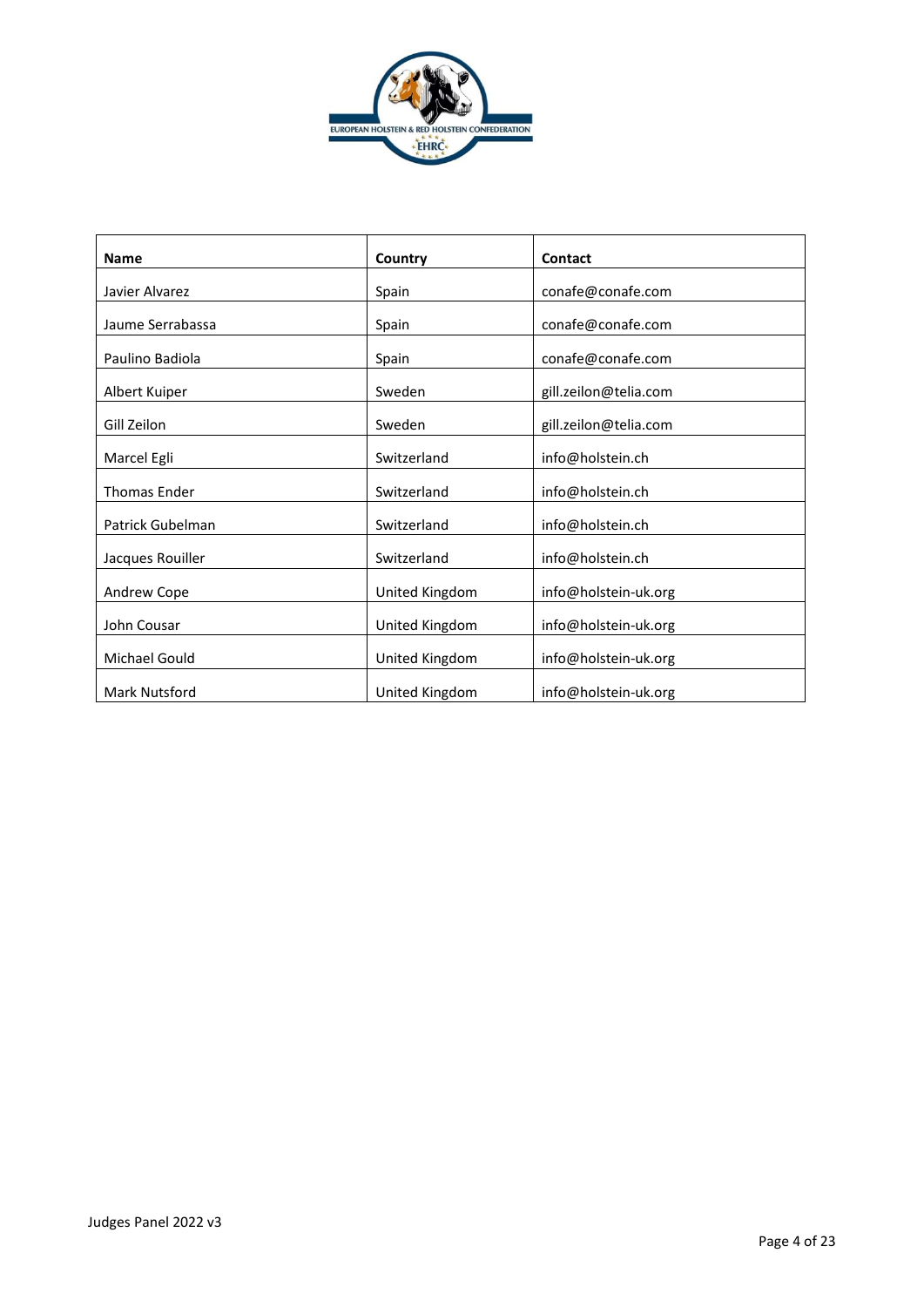

| <b>Name</b>             | Country        | Contact               |
|-------------------------|----------------|-----------------------|
| Javier Alvarez          | Spain          | conafe@conafe.com     |
| Jaume Serrabassa        | Spain          | conafe@conafe.com     |
| Paulino Badiola         | Spain          | conafe@conafe.com     |
| Albert Kuiper           | Sweden         | gill.zeilon@telia.com |
| Gill Zeilon             | Sweden         | gill.zeilon@telia.com |
| Marcel Egli             | Switzerland    | info@holstein.ch      |
| <b>Thomas Ender</b>     | Switzerland    | info@holstein.ch      |
| <b>Patrick Gubelman</b> | Switzerland    | info@holstein.ch      |
| Jacques Rouiller        | Switzerland    | info@holstein.ch      |
| Andrew Cope             | United Kingdom | info@holstein-uk.org  |
| John Cousar             | United Kingdom | info@holstein-uk.org  |
| Michael Gould           | United Kingdom | info@holstein-uk.org  |
| Mark Nutsford           | United Kingdom | info@holstein-uk.org  |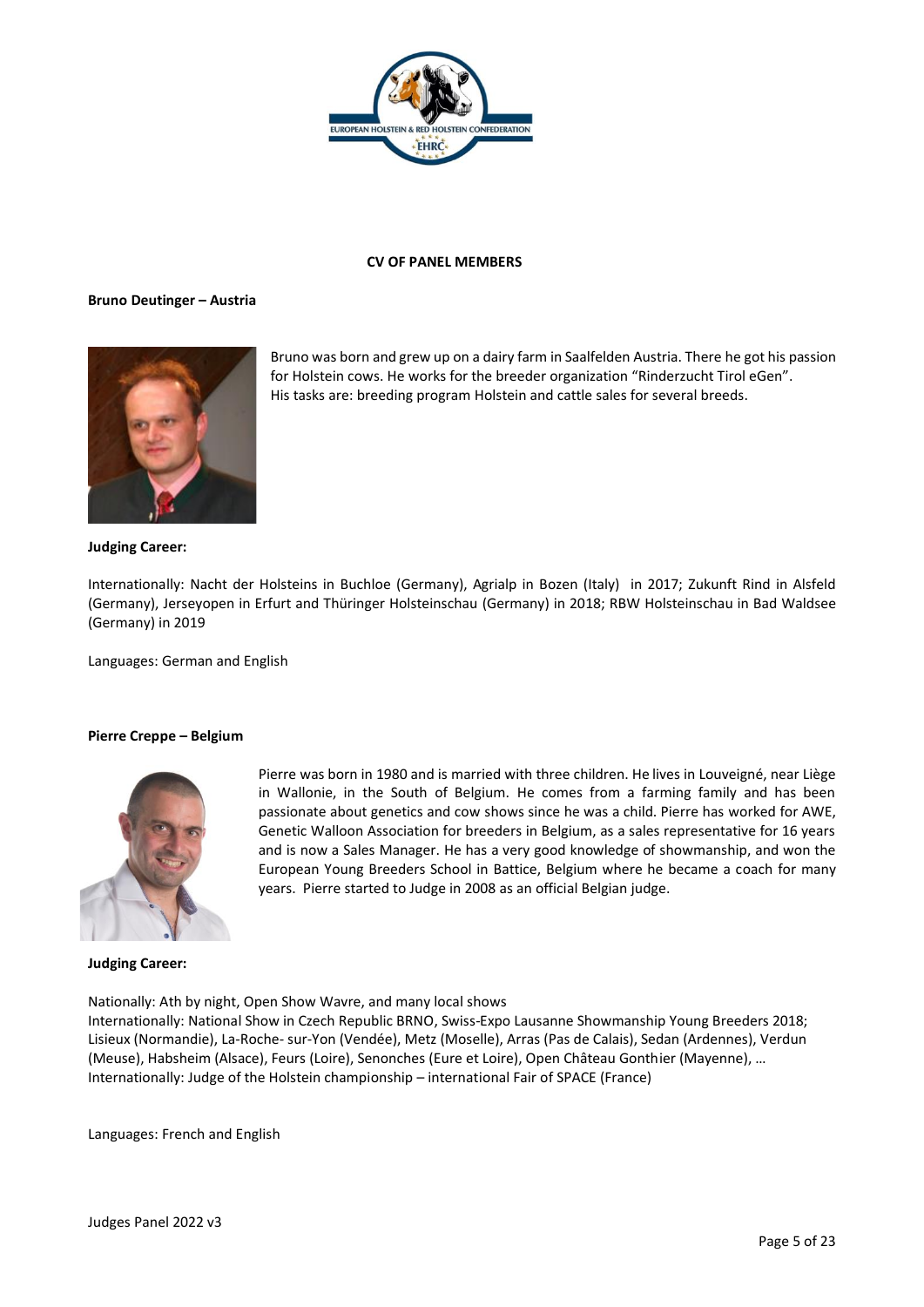

## **CV OF PANEL MEMBERS**

#### **Bruno Deutinger – Austria**



Bruno was born and grew up on a dairy farm in Saalfelden Austria. There he got his passion for Holstein cows. He works for the breeder organization "Rinderzucht Tirol eGen". His tasks are: breeding program Holstein and cattle sales for several breeds.

#### **Judging Career:**

Internationally: Nacht der Holsteins in Buchloe (Germany), Agrialp in Bozen (Italy) in 2017; Zukunft Rind in Alsfeld (Germany), Jerseyopen in Erfurt and Thüringer Holsteinschau (Germany) in 2018; RBW Holsteinschau in Bad Waldsee (Germany) in 2019

Languages: German and English

## **Pierre Creppe – Belgium**



Pierre was born in 1980 and is married with three children. He lives in Louveigné, near Liège in Wallonie, in the South of Belgium. He comes from a farming family and has been passionate about genetics and cow shows since he was a child. Pierre has worked for AWE, Genetic Walloon Association for breeders in Belgium, as a sales representative for 16 years and is now a Sales Manager. He has a very good knowledge of showmanship, and won the European Young Breeders School in Battice, Belgium where he became a coach for many years. Pierre started to Judge in 2008 as an official Belgian judge.

#### **Judging Career:**

Nationally: Ath by night, Open Show Wavre, and many local shows

Internationally: National Show in Czech Republic BRNO, Swiss-Expo Lausanne Showmanship Young Breeders 2018; Lisieux (Normandie), La-Roche- sur-Yon (Vendée), Metz (Moselle), Arras (Pas de Calais), Sedan (Ardennes), Verdun (Meuse), Habsheim (Alsace), Feurs (Loire), Senonches (Eure et Loire), Open Château Gonthier (Mayenne), … Internationally: Judge of the Holstein championship – international Fair of SPACE (France)

Languages: French and English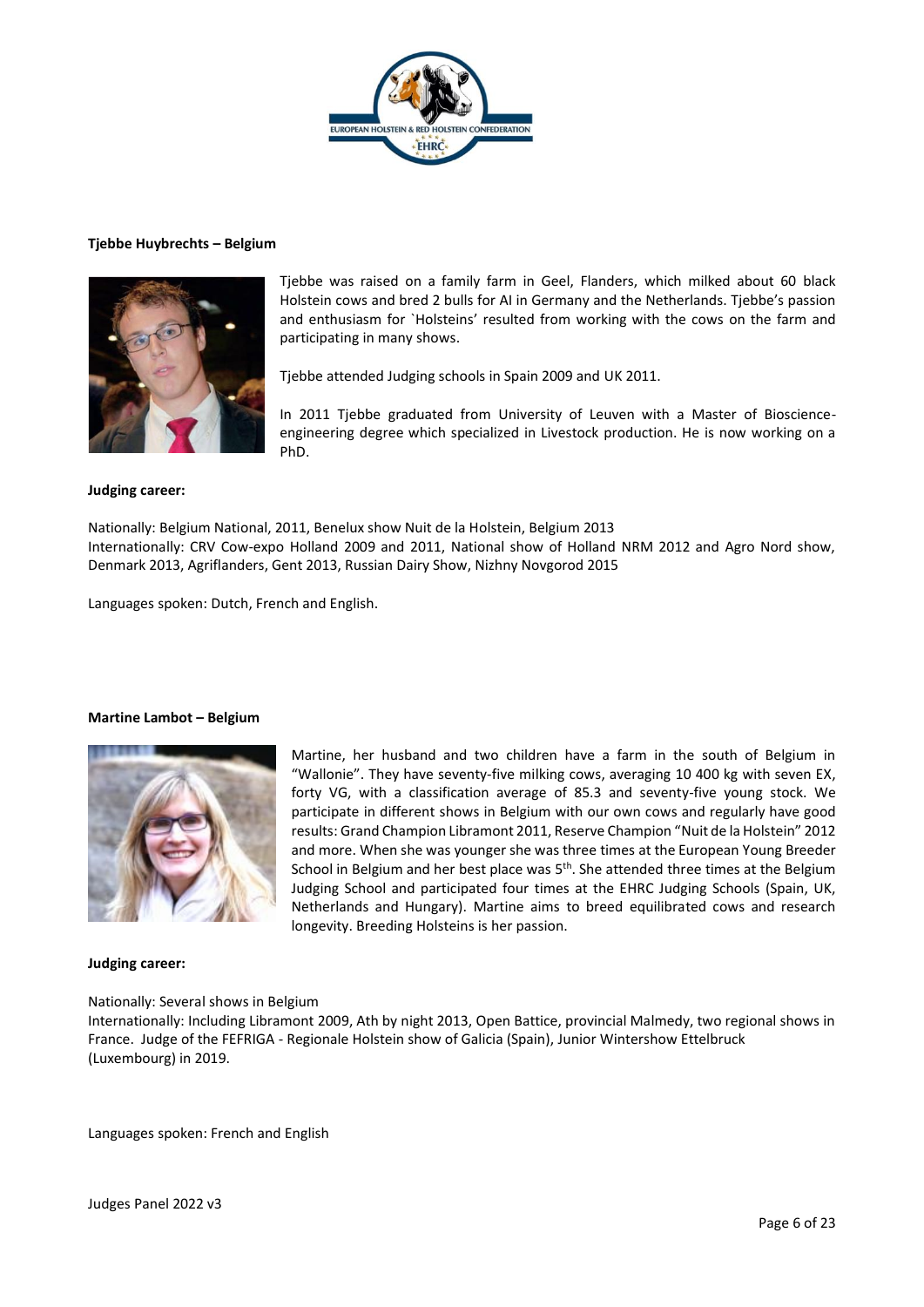

#### **Tjebbe Huybrechts – Belgium**



Tjebbe was raised on a family farm in Geel, Flanders, which milked about 60 black Holstein cows and bred 2 bulls for AI in Germany and the Netherlands. Tjebbe's passion and enthusiasm for `Holsteins' resulted from working with the cows on the farm and participating in many shows.

Tjebbe attended Judging schools in Spain 2009 and UK 2011.

In 2011 Tjebbe graduated from University of Leuven with a Master of Bioscienceengineering degree which specialized in Livestock production. He is now working on a PhD.

Martine, her husband and two children have a farm in the south of Belgium in "Wallonie". They have seventy-five milking cows, averaging 10 400 kg with seven EX, forty VG, with a classification average of 85.3 and seventy-five young stock. We participate in different shows in Belgium with our own cows and regularly have good results: Grand Champion Libramont 2011, Reserve Champion "Nuit de la Holstein" 2012 and more. When she was younger she was three times at the European Young Breeder School in Belgium and her best place was 5<sup>th</sup>. She attended three times at the Belgium Judging School and participated four times at the EHRC Judging Schools (Spain, UK, Netherlands and Hungary). Martine aims to breed equilibrated cows and research

## **Judging career:**

Nationally: Belgium National, 2011, Benelux show Nuit de la Holstein, Belgium 2013 Internationally: CRV Cow-expo Holland 2009 and 2011, National show of Holland NRM 2012 and Agro Nord show, Denmark 2013, Agriflanders, Gent 2013, Russian Dairy Show, Nizhny Novgorod 2015

Languages spoken: Dutch, French and English.

## **Martine Lambot – Belgium**



#### **Judging career:**

## Nationally: Several shows in Belgium

Internationally: Including Libramont 2009, Ath by night 2013, Open Battice, provincial Malmedy, two regional shows in France. Judge of the FEFRIGA - Regionale Holstein show of Galicia (Spain), Junior Wintershow Ettelbruck (Luxembourg) in 2019.

longevity. Breeding Holsteins is her passion.

Languages spoken: French and English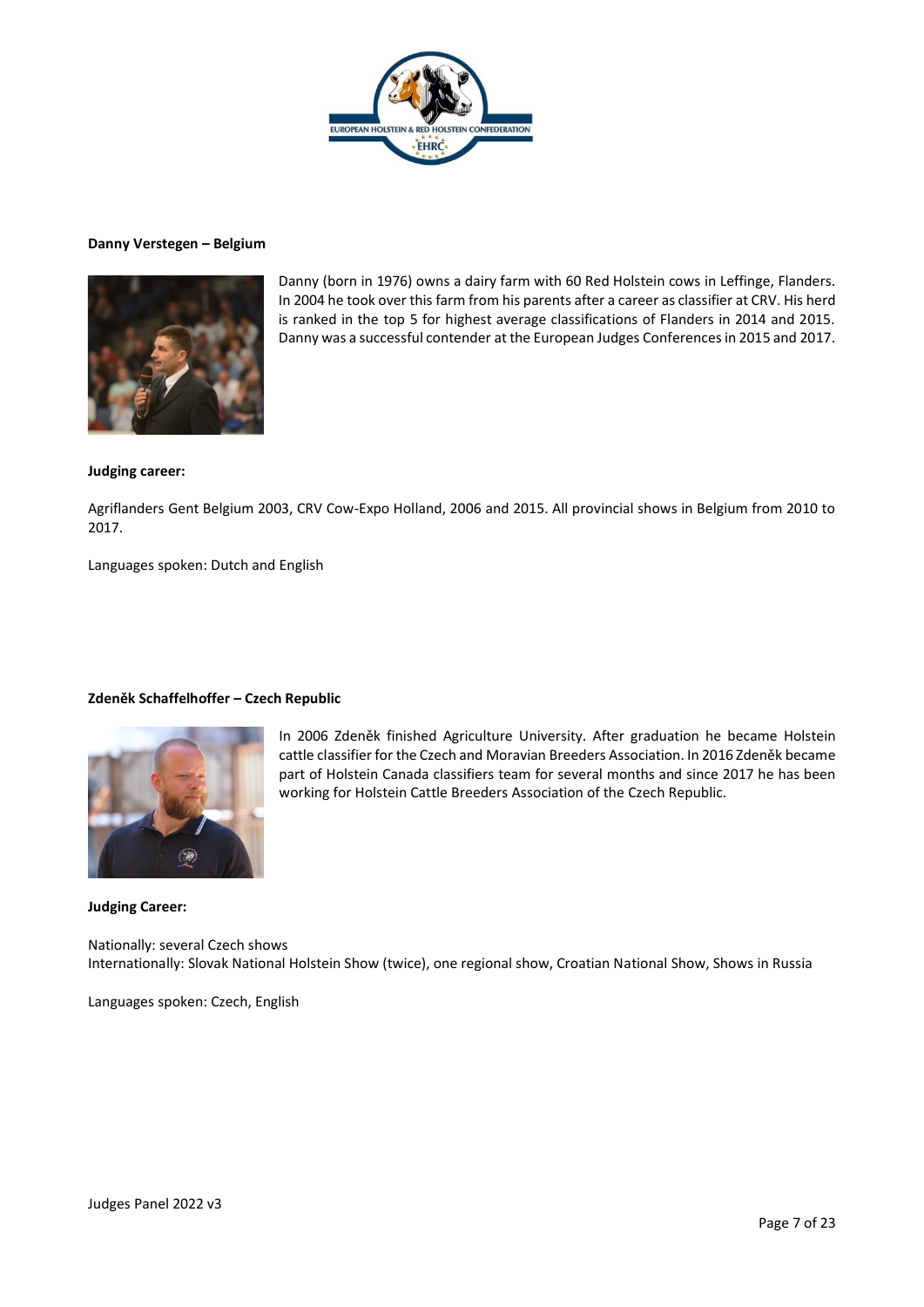

## **Danny Verstegen – Belgium**



Danny (born in 1976) owns a dairy farm with 60 Red Holstein cows in Leffinge, Flanders. In 2004 he took over this farm from his parents after a career as classifier at CRV. His herd is ranked in the top 5 for highest average classifications of Flanders in 2014 and 2015. Danny was a successful contender at the European Judges Conferences in 2015 and 2017.

## **Judging career:**

Agriflanders Gent Belgium 2003, CRV Cow-Expo Holland, 2006 and 2015. All provincial shows in Belgium from 2010 to 2017.

Languages spoken: Dutch and English

## **Zdeněk Schaffelhoffer – Czech Republic**



In 2006 Zdeněk finished Agriculture University. After graduation he became Holstein cattle classifier for the Czech and Moravian Breeders Association. In 2016 Zdeněk became part of Holstein Canada classifiers team for several months and since 2017 he has been working for Holstein Cattle Breeders Association of the Czech Republic.

**Judging Career:**

Nationally: several Czech shows Internationally: Slovak National Holstein Show (twice), one regional show, Croatian National Show, Shows in Russia

Languages spoken: Czech, English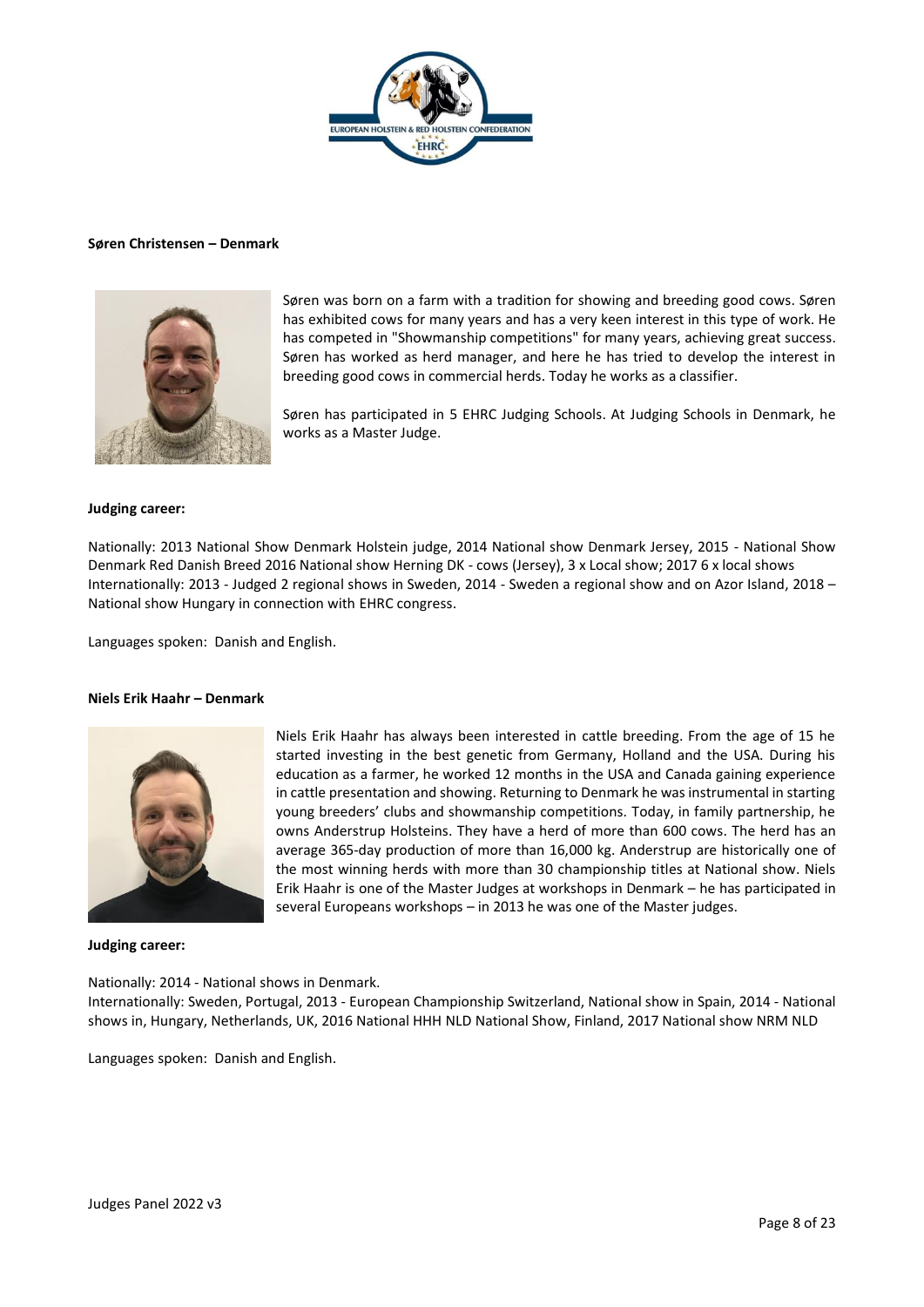

#### **Søren Christensen – Denmark**



Søren was born on a farm with a tradition for showing and breeding good cows. Søren has exhibited cows for many years and has a very keen interest in this type of work. He has competed in "Showmanship competitions" for many years, achieving great success. Søren has worked as herd manager, and here he has tried to develop the interest in breeding good cows in commercial herds. Today he works as a classifier.

Søren has participated in 5 EHRC Judging Schools. At Judging Schools in Denmark, he works as a Master Judge.

#### **Judging career:**

Nationally: 2013 National Show Denmark Holstein judge, 2014 National show Denmark Jersey, 2015 - National Show Denmark Red Danish Breed 2016 National show Herning DK - cows (Jersey), 3 x Local show; 2017 6 x local shows Internationally: 2013 - Judged 2 regional shows in Sweden, 2014 - Sweden a regional show and on Azor Island, 2018 – National show Hungary in connection with EHRC congress.

Languages spoken: Danish and English.

#### **Niels Erik Haahr – Denmark**



Niels Erik Haahr has always been interested in cattle breeding. From the age of 15 he started investing in the best genetic from Germany, Holland and the USA. During his education as a farmer, he worked 12 months in the USA and Canada gaining experience in cattle presentation and showing. Returning to Denmark he was instrumental in starting young breeders' clubs and showmanship competitions. Today, in family partnership, he owns Anderstrup Holsteins. They have a herd of more than 600 cows. The herd has an average 365-day production of more than 16,000 kg. Anderstrup are historically one of the most winning herds with more than 30 championship titles at National show. Niels Erik Haahr is one of the Master Judges at workshops in Denmark – he has participated in several Europeans workshops – in 2013 he was one of the Master judges.

#### **Judging career:**

Nationally: 2014 - National shows in Denmark.

Internationally: Sweden, Portugal, 2013 - European Championship Switzerland, National show in Spain, 2014 - National shows in, Hungary, Netherlands, UK, 2016 National HHH NLD National Show, Finland, 2017 National show NRM NLD

Languages spoken: Danish and English.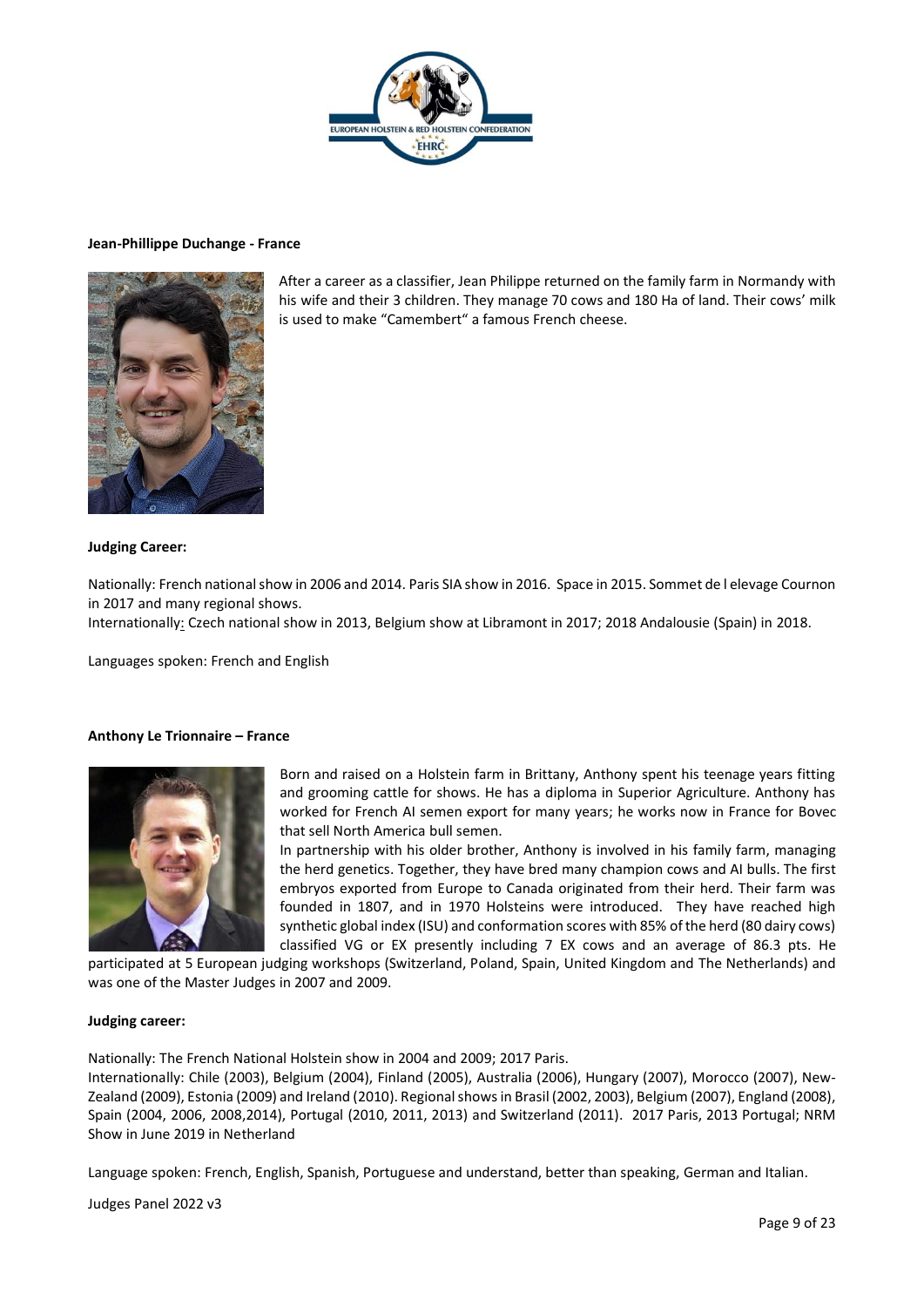

#### **Jean-Phillippe Duchange - France**



After a career as a classifier, Jean Philippe returned on the family farm in Normandy with his wife and their 3 children. They manage 70 cows and 180 Ha of land. Their cows' milk is used to make "Camembert" a famous French cheese.

## **Judging Career:**

Nationally: French national show in 2006 and 2014. Paris SIA show in 2016. Space in 2015. Sommet de l elevage Cournon in 2017 and many regional shows.

Internationally: Czech national show in 2013, Belgium show at Libramont in 2017; 2018 Andalousie (Spain) in 2018.

Languages spoken: French and English

## **Anthony Le Trionnaire – France**



Born and raised on a Holstein farm in Brittany, Anthony spent his teenage years fitting and grooming cattle for shows. He has a diploma in Superior Agriculture. Anthony has worked for French AI semen export for many years; he works now in France for Bovec that sell North America bull semen.

In partnership with his older brother, Anthony is involved in his family farm, managing the herd genetics. Together, they have bred many champion cows and AI bulls. The first embryos exported from Europe to Canada originated from their herd. Their farm was founded in 1807, and in 1970 Holsteins were introduced. They have reached high synthetic global index (ISU) and conformation scores with 85% of the herd (80 dairy cows) classified VG or EX presently including 7 EX cows and an average of 86.3 pts. He

participated at 5 European judging workshops (Switzerland, Poland, Spain, United Kingdom and The Netherlands) and was one of the Master Judges in 2007 and 2009.

#### **Judging career:**

Nationally: The French National Holstein show in 2004 and 2009; 2017 Paris.

Internationally: Chile (2003), Belgium (2004), Finland (2005), Australia (2006), Hungary (2007), Morocco (2007), New-Zealand (2009), Estonia (2009) and Ireland (2010). Regional shows in Brasil (2002, 2003), Belgium (2007), England (2008), Spain (2004, 2006, 2008,2014), Portugal (2010, 2011, 2013) and Switzerland (2011). 2017 Paris, 2013 Portugal; NRM Show in June 2019 in Netherland

Language spoken: French, English, Spanish, Portuguese and understand, better than speaking, German and Italian.

Judges Panel 2022 v3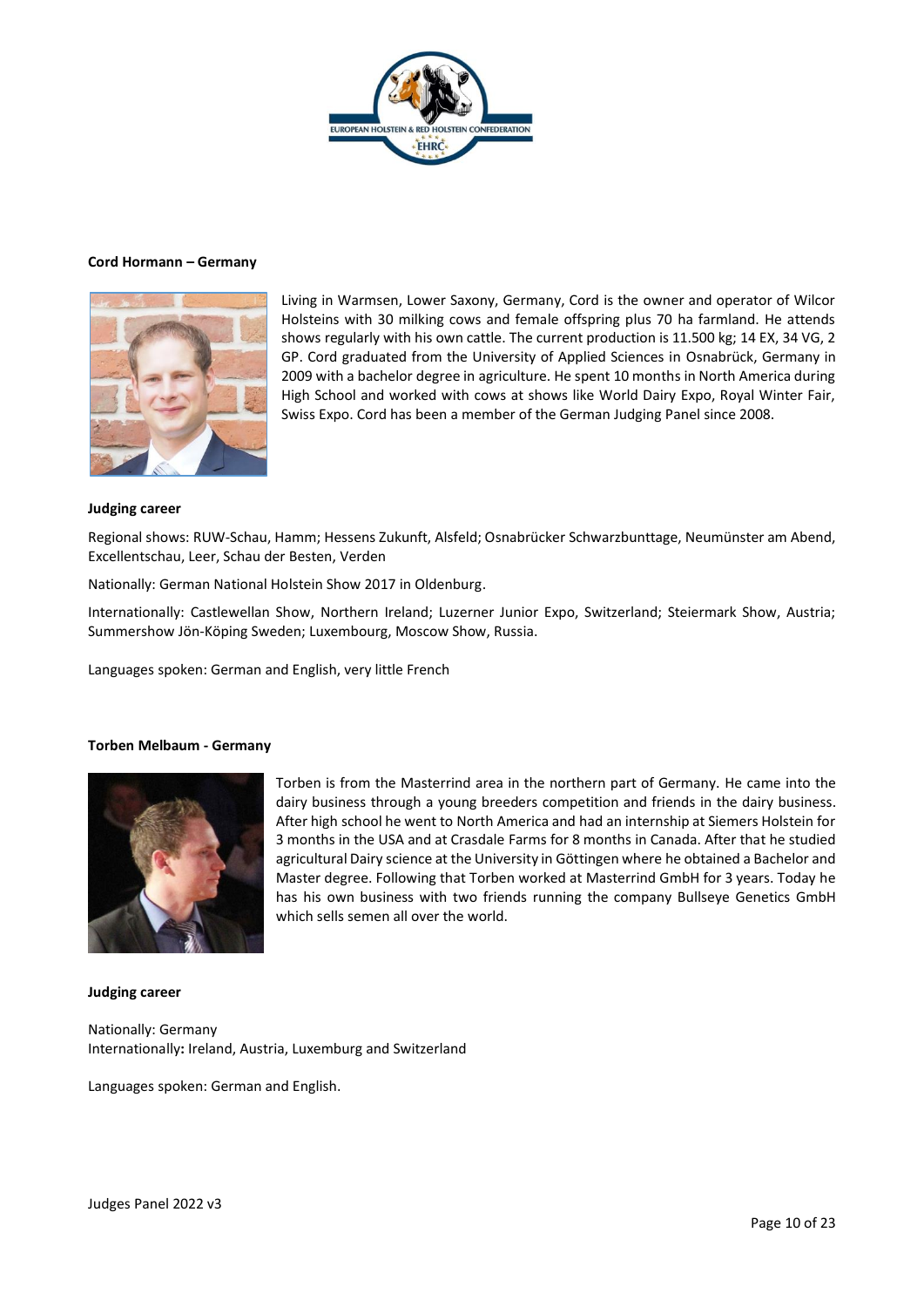

## **Cord Hormann – Germany**



Living in Warmsen, Lower Saxony, Germany, Cord is the owner and operator of Wilcor Holsteins with 30 milking cows and female offspring plus 70 ha farmland. He attends shows regularly with his own cattle. The current production is 11.500 kg; 14 EX, 34 VG, 2 GP. Cord graduated from the University of Applied Sciences in Osnabrück, Germany in 2009 with a bachelor degree in agriculture. He spent 10 months in North America during High School and worked with cows at shows like World Dairy Expo, Royal Winter Fair, Swiss Expo. Cord has been a member of the German Judging Panel since 2008.

#### **Judging career**

Regional shows: RUW-Schau, Hamm; Hessens Zukunft, Alsfeld; Osnabrücker Schwarzbunttage, Neumünster am Abend, Excellentschau, Leer, Schau der Besten, Verden

Nationally: German National Holstein Show 2017 in Oldenburg.

Internationally: Castlewellan Show, Northern Ireland; Luzerner Junior Expo, Switzerland; Steiermark Show, Austria; Summershow Jön-Köping Sweden; Luxembourg, Moscow Show, Russia.

Languages spoken: German and English, very little French

#### **Torben Melbaum - Germany**



Torben is from the Masterrind area in the northern part of Germany. He came into the dairy business through a young breeders competition and friends in the dairy business. After high school he went to North America and had an internship at Siemers Holstein for 3 months in the USA and at Crasdale Farms for 8 months in Canada. After that he studied agricultural Dairy science at the University in Göttingen where he obtained a Bachelor and Master degree. Following that Torben worked at Masterrind GmbH for 3 years. Today he has his own business with two friends running the company Bullseye Genetics GmbH which sells semen all over the world.

#### **Judging career**

Nationally: Germany Internationally**:** Ireland, Austria, Luxemburg and Switzerland

Languages spoken: German and English.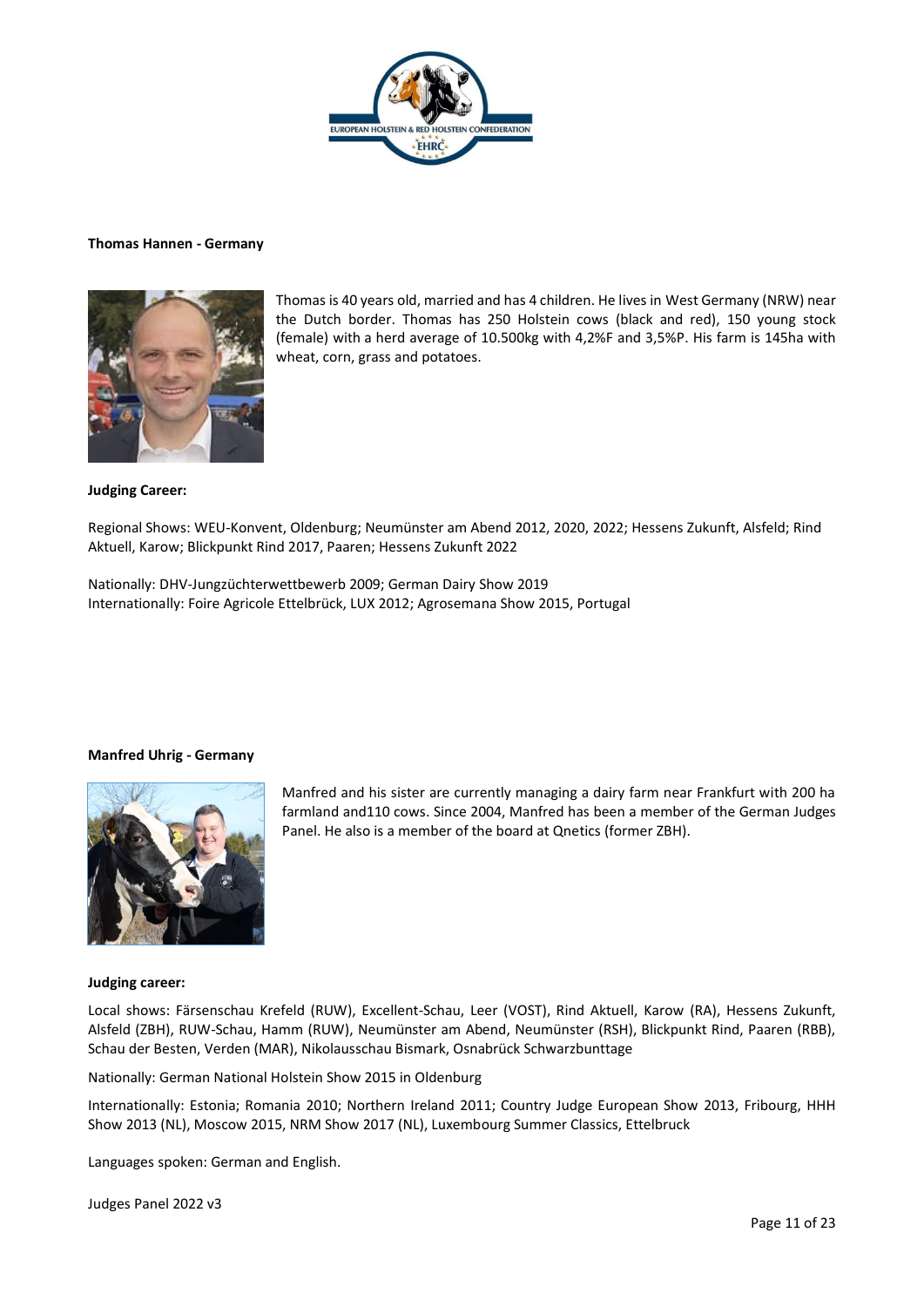

#### **Thomas Hannen - Germany**



Thomas is 40 years old, married and has 4 children. He lives in West Germany (NRW) near the Dutch border. Thomas has 250 Holstein cows (black and red), 150 young stock (female) with a herd average of 10.500kg with 4,2%F and 3,5%P. His farm is 145ha with wheat, corn, grass and potatoes.

## **Judging Career:**

Regional Shows: WEU-Konvent, Oldenburg; Neumünster am Abend 2012, 2020, 2022; Hessens Zukunft, Alsfeld; Rind Aktuell, Karow; Blickpunkt Rind 2017, Paaren; Hessens Zukunft 2022

Nationally: DHV-Jungzüchterwettbewerb 2009; German Dairy Show 2019 Internationally: Foire Agricole Ettelbrück, LUX 2012; Agrosemana Show 2015, Portugal

## **Manfred Uhrig - Germany**



Manfred and his sister are currently managing a dairy farm near Frankfurt with 200 ha farmland and110 cows. Since 2004, Manfred has been a member of the German Judges Panel. He also is a member of the board at Qnetics (former ZBH).

#### **Judging career:**

Local shows: Färsenschau Krefeld (RUW), Excellent-Schau, Leer (VOST), Rind Aktuell, Karow (RA), Hessens Zukunft, Alsfeld (ZBH), RUW-Schau, Hamm (RUW), Neumünster am Abend, Neumünster (RSH), Blickpunkt Rind, Paaren (RBB), Schau der Besten, Verden (MAR), Nikolausschau Bismark, Osnabrück Schwarzbunttage

Nationally: German National Holstein Show 2015 in Oldenburg

Internationally: Estonia; Romania 2010; Northern Ireland 2011; Country Judge European Show 2013, Fribourg, HHH Show 2013 (NL), Moscow 2015, NRM Show 2017 (NL), Luxembourg Summer Classics, Ettelbruck

Languages spoken: German and English.

Judges Panel 2022 v3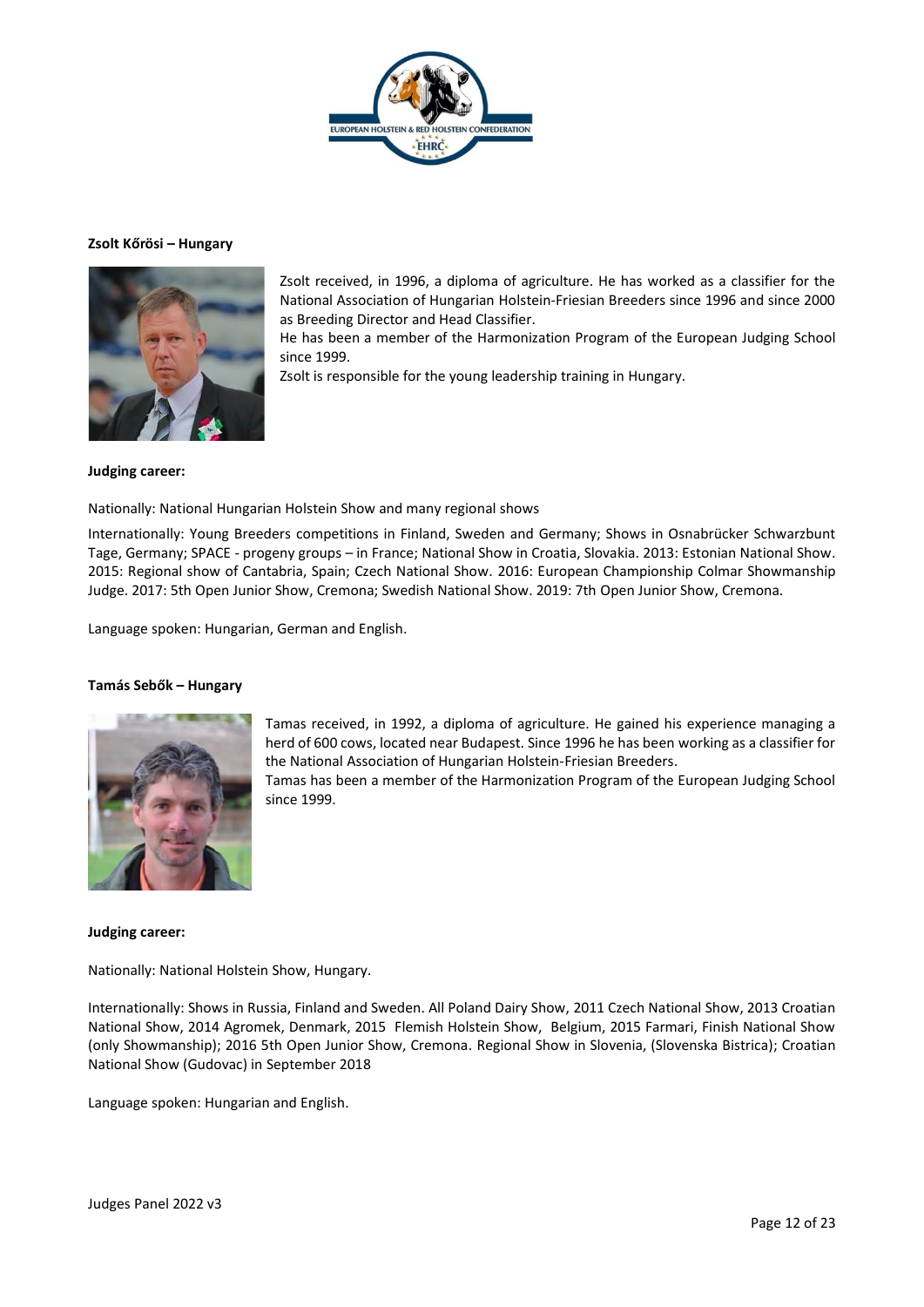

## **Zsolt Kőrösi – Hungary**



Zsolt received, in 1996, a diploma of agriculture. He has worked as a classifier for the National Association of Hungarian Holstein-Friesian Breeders since 1996 and since 2000 as Breeding Director and Head Classifier.

He has been a member of the Harmonization Program of the European Judging School since 1999.

Zsolt is responsible for the young leadership training in Hungary.

## **Judging career:**

Nationally: National Hungarian Holstein Show and many regional shows

Internationally: Young Breeders competitions in Finland, Sweden and Germany; Shows in Osnabrücker Schwarzbunt Tage, Germany; SPACE - progeny groups – in France; National Show in Croatia, Slovakia. 2013: Estonian National Show. 2015: Regional show of Cantabria, Spain; Czech National Show. 2016: European Championship Colmar Showmanship Judge. 2017: 5th Open Junior Show, Cremona; Swedish National Show. 2019: 7th Open Junior Show, Cremona.

Language spoken: Hungarian, German and English.

## **Tamás Sebők – Hungary**



Tamas received, in 1992, a diploma of agriculture. He gained his experience managing a herd of 600 cows, located near Budapest. Since 1996 he has been working as a classifier for the National Association of Hungarian Holstein-Friesian Breeders. Tamas has been a member of the Harmonization Program of the European Judging School since 1999.

## **Judging career:**

Nationally: National Holstein Show, Hungary.

Internationally: Shows in Russia, Finland and Sweden. All Poland Dairy Show, 2011 Czech National Show, 2013 Croatian National Show, 2014 Agromek, Denmark, 2015 Flemish Holstein Show, Belgium, 2015 Farmari, Finish National Show (only Showmanship); 2016 5th Open Junior Show, Cremona. Regional Show in Slovenia, (Slovenska Bistrica); Croatian National Show (Gudovac) in September 2018

Language spoken: Hungarian and English.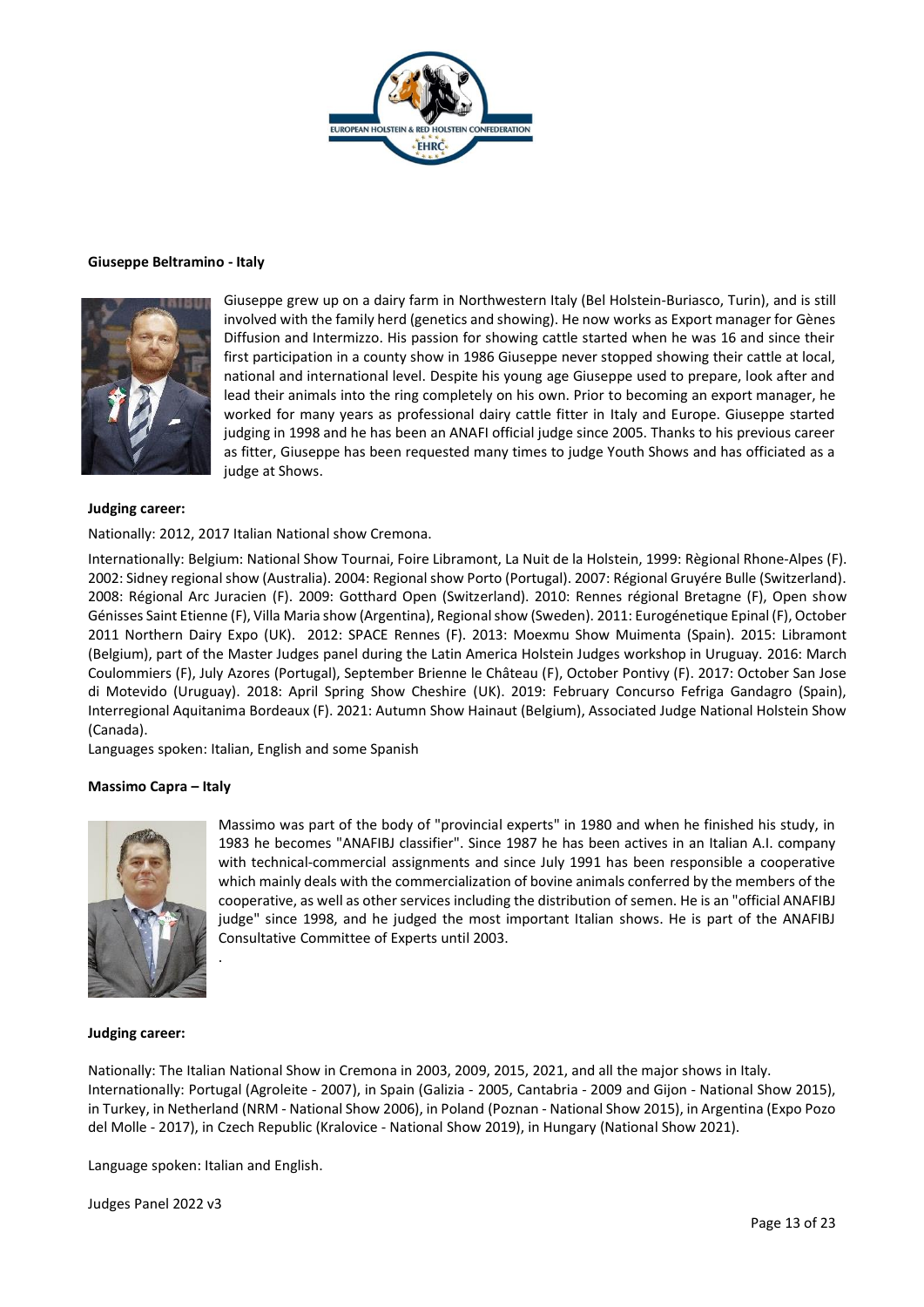

## **Giuseppe Beltramino - Italy**



Giuseppe grew up on a dairy farm in Northwestern Italy (Bel Holstein-Buriasco, Turin), and is still involved with the family herd (genetics and showing). He now works as Export manager for Gènes Diffusion and Intermizzo. His passion for showing cattle started when he was 16 and since their first participation in a county show in 1986 Giuseppe never stopped showing their cattle at local, national and international level. Despite his young age Giuseppe used to prepare, look after and lead their animals into the ring completely on his own. Prior to becoming an export manager, he worked for many years as professional dairy cattle fitter in Italy and Europe. Giuseppe started judging in 1998 and he has been an ANAFI official judge since 2005. Thanks to his previous career as fitter, Giuseppe has been requested many times to judge Youth Shows and has officiated as a judge at Shows.

#### **Judging career:**

Nationally: 2012, 2017 Italian National show Cremona.

Internationally: Belgium: National Show Tournai, Foire Libramont, La Nuit de la Holstein, 1999: Règional Rhone-Alpes (F). 2002: Sidney regional show (Australia). 2004: Regional show Porto (Portugal). 2007: Régional Gruyére Bulle (Switzerland). 2008: Régional Arc Juracien (F). 2009: Gotthard Open (Switzerland). 2010: Rennes régional Bretagne (F), Open show Génisses Saint Etienne (F), Villa Maria show (Argentina), Regional show (Sweden). 2011: Eurogénetique Epinal (F), October 2011 Northern Dairy Expo (UK). 2012: SPACE Rennes (F). 2013: Moexmu Show Muimenta (Spain). 2015: Libramont (Belgium), part of the Master Judges panel during the Latin America Holstein Judges workshop in Uruguay. 2016: March Coulommiers (F), July Azores (Portugal), September Brienne le Château (F), October Pontivy (F). 2017: October San Jose di Motevido (Uruguay). 2018: April Spring Show Cheshire (UK). 2019: February Concurso Fefriga Gandagro (Spain), Interregional Aquitanima Bordeaux (F). 2021: Autumn Show Hainaut (Belgium), Associated Judge National Holstein Show (Canada).

Languages spoken: Italian, English and some Spanish

#### **Massimo Capra – Italy**



Massimo was part of the body of "provincial experts" in 1980 and when he finished his study, in 1983 he becomes "ANAFIBJ classifier". Since 1987 he has been actives in an Italian A.I. company with technical-commercial assignments and since July 1991 has been responsible a cooperative which mainly deals with the commercialization of bovine animals conferred by the members of the cooperative, as well as other services including the distribution of semen. He is an "official ANAFIBJ judge" since 1998, and he judged the most important Italian shows. He is part of the ANAFIBJ Consultative Committee of Experts until 2003.

#### **Judging career:**

Nationally: The Italian National Show in Cremona in 2003, 2009, 2015, 2021, and all the major shows in Italy. Internationally: Portugal (Agroleite - 2007), in Spain (Galizia - 2005, Cantabria - 2009 and Gijon - National Show 2015), in Turkey, in Netherland (NRM - National Show 2006), in Poland (Poznan - National Show 2015), in Argentina (Expo Pozo del Molle - 2017), in Czech Republic (Kralovice - National Show 2019), in Hungary (National Show 2021).

Language spoken: Italian and English.

.

Judges Panel 2022 v3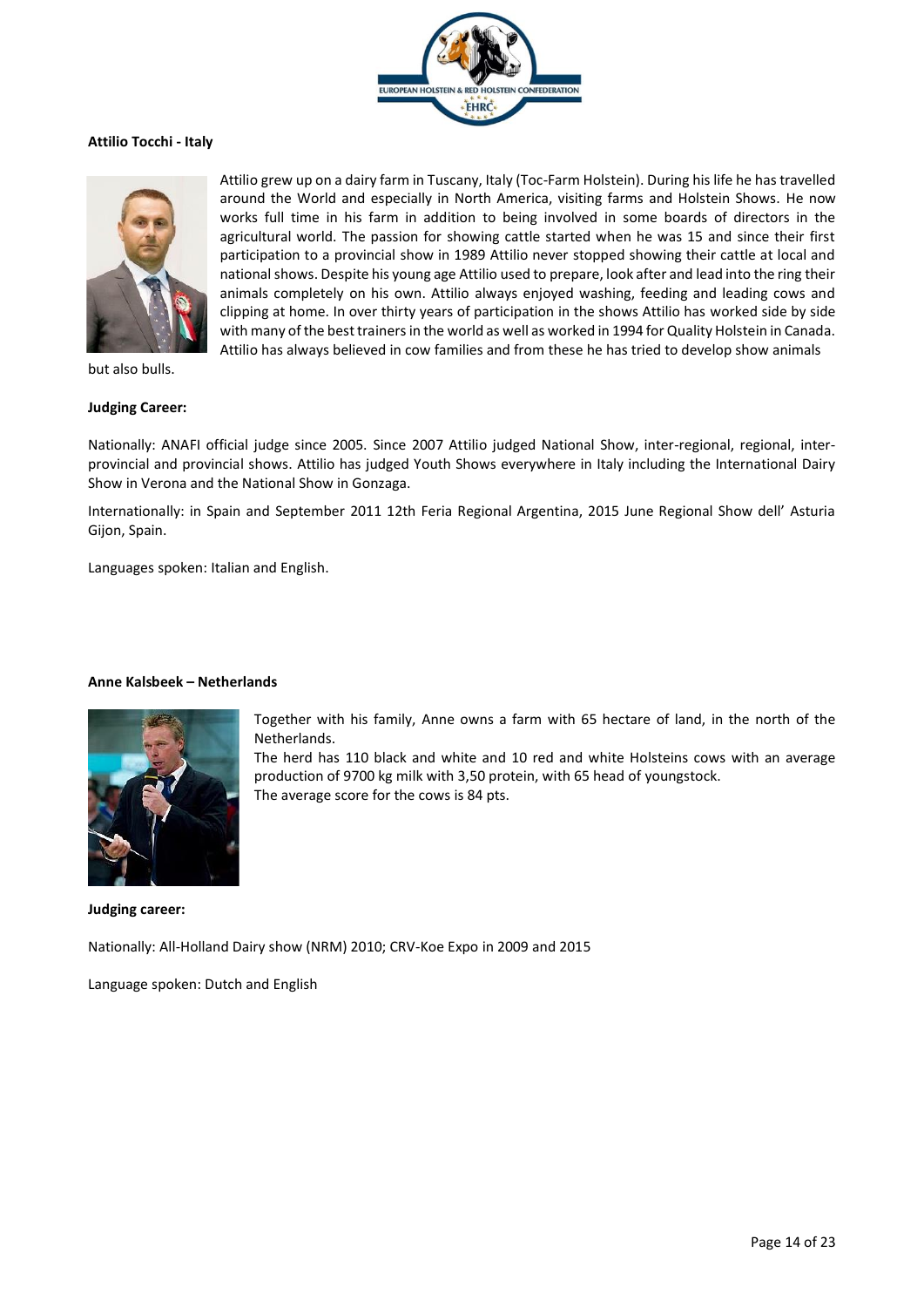

## **Attilio Tocchi - Italy**



Attilio grew up on a dairy farm in Tuscany, Italy (Toc-Farm Holstein). During his life he has travelled around the World and especially in North America, visiting farms and Holstein Shows. He now works full time in his farm in addition to being involved in some boards of directors in the agricultural world. The passion for showing cattle started when he was 15 and since their first participation to a provincial show in 1989 Attilio never stopped showing their cattle at local and national shows. Despite his young age Attilio used to prepare, look after and lead into the ring their animals completely on his own. Attilio always enjoyed washing, feeding and leading cows and clipping at home. In over thirty years of participation in the shows Attilio has worked side by side with many of the best trainers in the world as well as worked in 1994 for Quality Holstein in Canada. Attilio has always believed in cow families and from these he has tried to develop show animals

but also bulls.

## **Judging Career:**

Nationally: ANAFI official judge since 2005. Since 2007 Attilio judged National Show, inter-regional, regional, interprovincial and provincial shows. Attilio has judged Youth Shows everywhere in Italy including the International Dairy Show in Verona and the National Show in Gonzaga.

Internationally: in Spain and September 2011 12th Feria Regional Argentina, 2015 June Regional Show dell' Asturia Gijon, Spain.

Languages spoken: Italian and English.

## **Anne Kalsbeek – Netherlands**



Together with his family, Anne owns a farm with 65 hectare of land, in the north of the Netherlands.

The herd has 110 black and white and 10 red and white Holsteins cows with an average production of 9700 kg milk with 3,50 protein, with 65 head of youngstock. The average score for the cows is 84 pts.

**Judging career:**

Nationally: All-Holland Dairy show (NRM) 2010; CRV-Koe Expo in 2009 and 2015

Language spoken: Dutch and English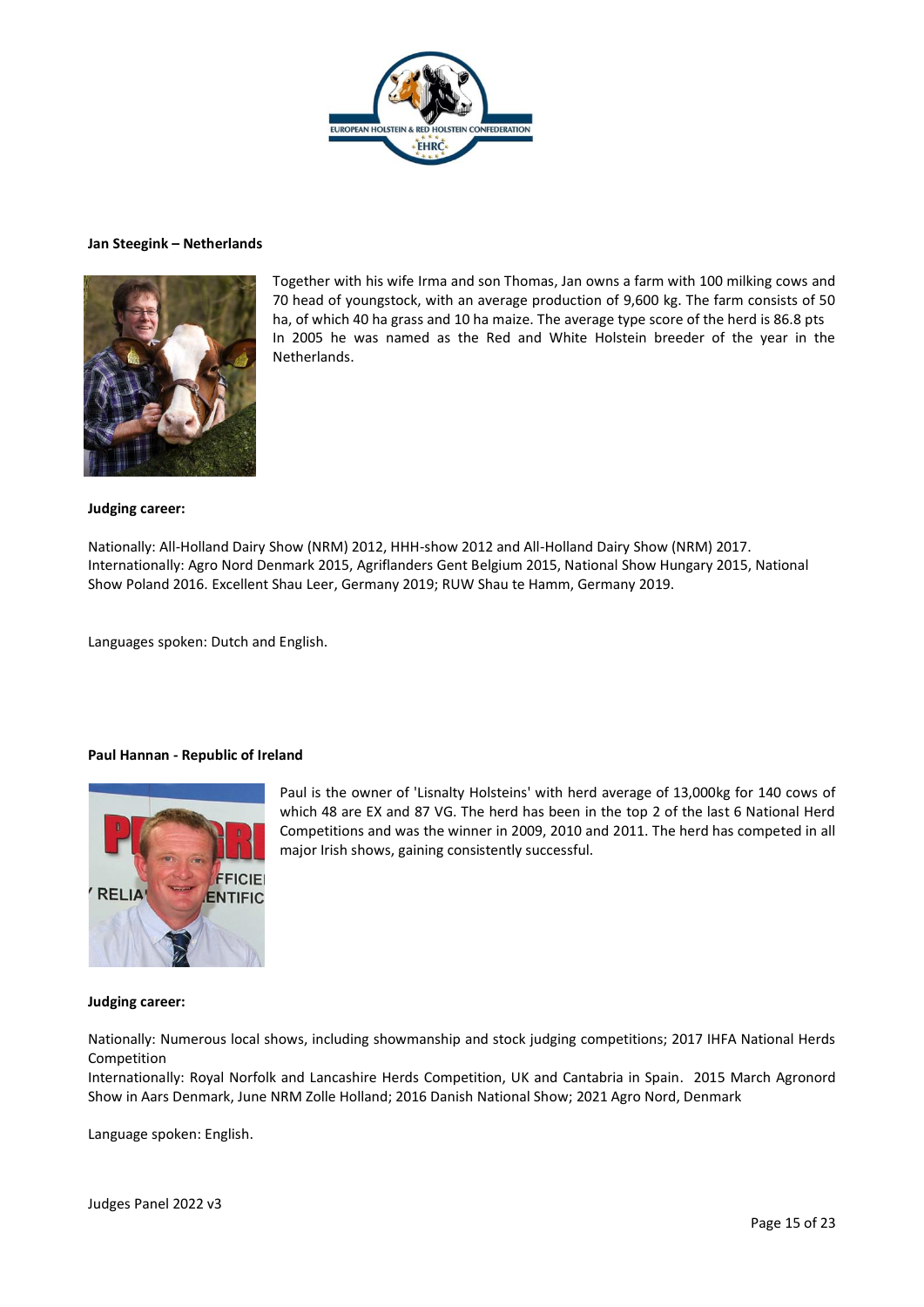

#### **Jan Steegink – Netherlands**



Together with his wife Irma and son Thomas, Jan owns a farm with 100 milking cows and 70 head of youngstock, with an average production of 9,600 kg. The farm consists of 50 ha, of which 40 ha grass and 10 ha maize. The average type score of the herd is 86.8 pts In 2005 he was named as the Red and White Holstein breeder of the year in the Netherlands.

#### **Judging career:**

Nationally: All-Holland Dairy Show (NRM) 2012, HHH-show 2012 and All-Holland Dairy Show (NRM) 2017. Internationally: Agro Nord Denmark 2015, Agriflanders Gent Belgium 2015, National Show Hungary 2015, National Show Poland 2016. Excellent Shau Leer, Germany 2019; RUW Shau te Hamm, Germany 2019.

Languages spoken: Dutch and English.

## **Paul Hannan - Republic of Ireland**



Paul is the owner of 'Lisnalty Holsteins' with herd average of 13,000kg for 140 cows of which 48 are EX and 87 VG. The herd has been in the top 2 of the last 6 National Herd Competitions and was the winner in 2009, 2010 and 2011. The herd has competed in all major Irish shows, gaining consistently successful.

## **Judging career:**

Nationally: Numerous local shows, including showmanship and stock judging competitions; 2017 IHFA National Herds Competition

Internationally: Royal Norfolk and Lancashire Herds Competition, UK and Cantabria in Spain. 2015 March Agronord Show in Aars Denmark, June NRM Zolle Holland; 2016 Danish National Show; 2021 Agro Nord, Denmark

Language spoken: English.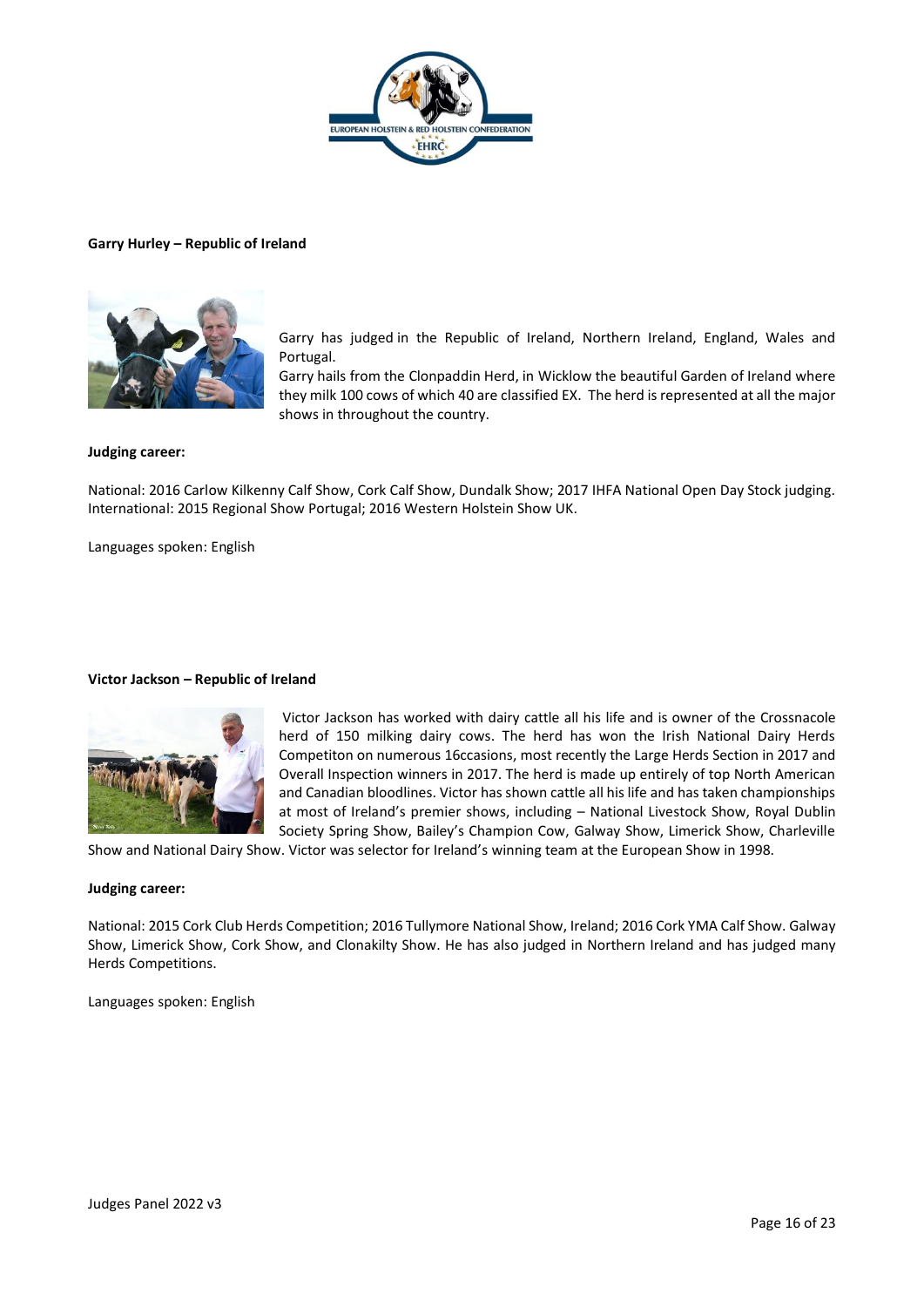

## **Garry Hurley – Republic of Ireland**



Garry has judged in the Republic of Ireland, Northern Ireland, England, Wales and Portugal.

Garry hails from the Clonpaddin Herd, in Wicklow the beautiful Garden of Ireland where they milk 100 cows of which 40 are classified EX. The herd is represented at all the major shows in throughout the country.

## **Judging career:**

National: 2016 Carlow Kilkenny Calf Show, Cork Calf Show, Dundalk Show; 2017 IHFA National Open Day Stock judging. International: 2015 Regional Show Portugal; 2016 Western Holstein Show UK.

Languages spoken: English

#### **Victor Jackson – Republic of Ireland**



Victor Jackson has worked with dairy cattle all his life and is owner of the Crossnacole herd of 150 milking dairy cows. The herd has won the Irish National Dairy Herds Competiton on numerous 16ccasions, most recently the Large Herds Section in 2017 and Overall Inspection winners in 2017. The herd is made up entirely of top North American and Canadian bloodlines. Victor has shown cattle all his life and has taken championships at most of Ireland's premier shows, including – National Livestock Show, Royal Dublin Society Spring Show, Bailey's Champion Cow, Galway Show, Limerick Show, Charleville

Show and National Dairy Show. Victor was selector for Ireland's winning team at the European Show in 1998.

#### **Judging career:**

National: 2015 Cork Club Herds Competition; 2016 Tullymore National Show, Ireland; 2016 Cork YMA Calf Show. Galway Show, Limerick Show, Cork Show, and Clonakilty Show. He has also judged in Northern Ireland and has judged many Herds Competitions.

Languages spoken: English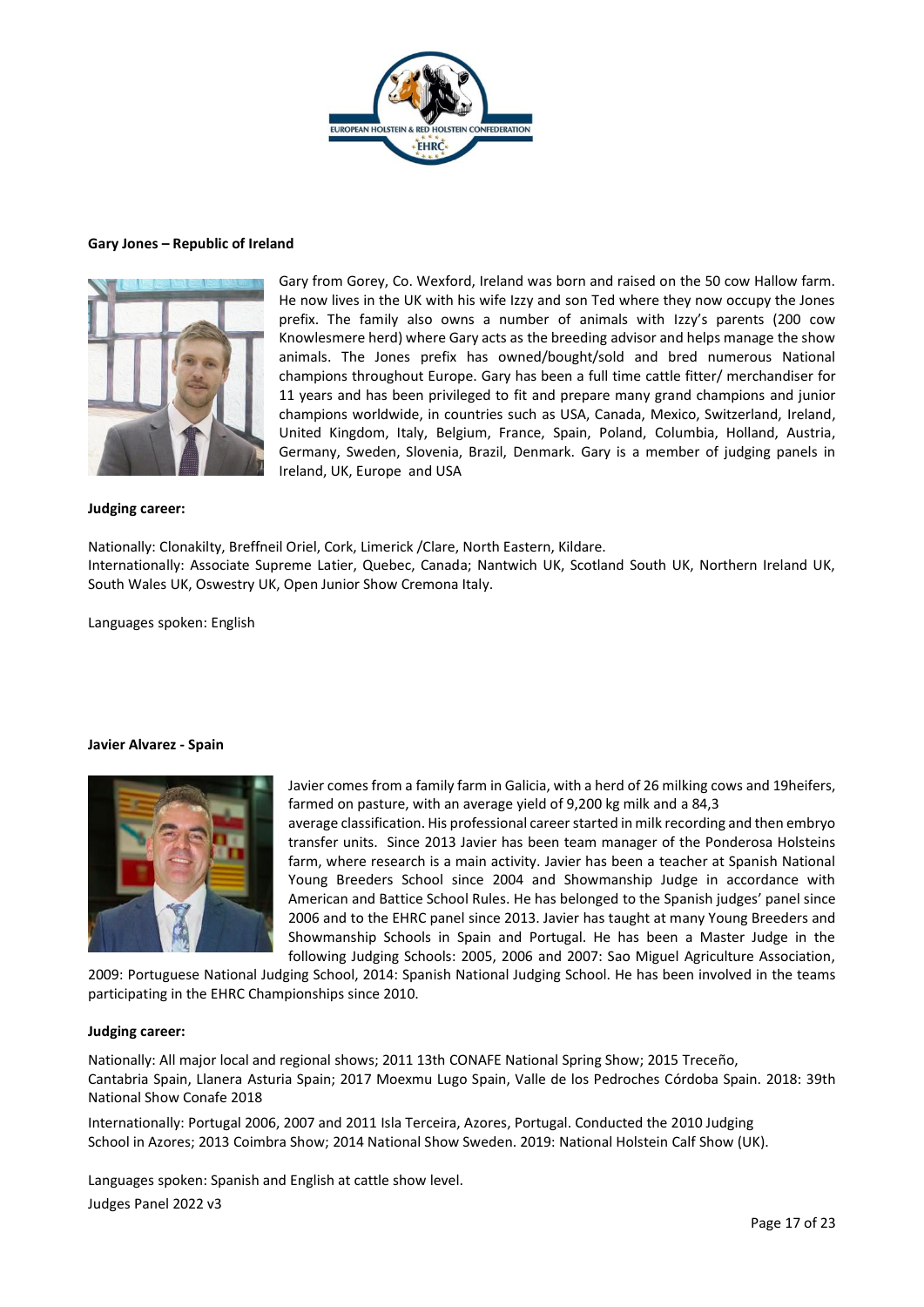

#### **Gary Jones – Republic of Ireland**



Gary from Gorey, Co. Wexford, Ireland was born and raised on the 50 cow Hallow farm. He now lives in the UK with his wife Izzy and son Ted where they now occupy the Jones prefix. The family also owns a number of animals with Izzy's parents (200 cow Knowlesmere herd) where Gary acts as the breeding advisor and helps manage the show animals. The Jones prefix has owned/bought/sold and bred numerous National champions throughout Europe. Gary has been a full time cattle fitter/ merchandiser for 11 years and has been privileged to fit and prepare many grand champions and junior champions worldwide, in countries such as USA, Canada, Mexico, Switzerland, Ireland, United Kingdom, Italy, Belgium, France, Spain, Poland, Columbia, Holland, Austria, Germany, Sweden, Slovenia, Brazil, Denmark. Gary is a member of judging panels in Ireland, UK, Europe and USA

#### **Judging career:**

Nationally: Clonakilty, Breffneil Oriel, Cork, Limerick /Clare, North Eastern, Kildare. Internationally: Associate Supreme Latier, Quebec, Canada; Nantwich UK, Scotland South UK, Northern Ireland UK, South Wales UK, Oswestry UK, Open Junior Show Cremona Italy.

Languages spoken: English

#### **Javier Alvarez - Spain**



Javier comes from a family farm in Galicia, with a herd of 26 milking cows and 19heifers, farmed on pasture, with an average yield of 9,200 kg milk and a 84,3

average classification. His professional career started in milk recording and then embryo transfer units. Since 2013 Javier has been team manager of the Ponderosa Holsteins farm, where research is a main activity. Javier has been a teacher at Spanish National Young Breeders School since 2004 and Showmanship Judge in accordance with American and Battice School Rules. He has belonged to the Spanish judges' panel since 2006 and to the EHRC panel since 2013. Javier has taught at many Young Breeders and Showmanship Schools in Spain and Portugal. He has been a Master Judge in the following Judging Schools: 2005, 2006 and 2007: Sao Miguel Agriculture Association,

2009: Portuguese National Judging School, 2014: Spanish National Judging School. He has been involved in the teams participating in the EHRC Championships since 2010.

#### **Judging career:**

Nationally: All major local and regional shows; 2011 13th CONAFE National Spring Show; 2015 Treceño, Cantabria Spain, Llanera Asturia Spain; 2017 Moexmu Lugo Spain, Valle de los Pedroches Córdoba Spain. 2018: 39th National Show Conafe 2018

Internationally: Portugal 2006, 2007 and 2011 Isla Terceira, Azores, Portugal. Conducted the 2010 Judging School in Azores; 2013 Coimbra Show; 2014 National Show Sweden. 2019: National Holstein Calf Show (UK).

Judges Panel 2022 v3 Languages spoken: Spanish and English at cattle show level.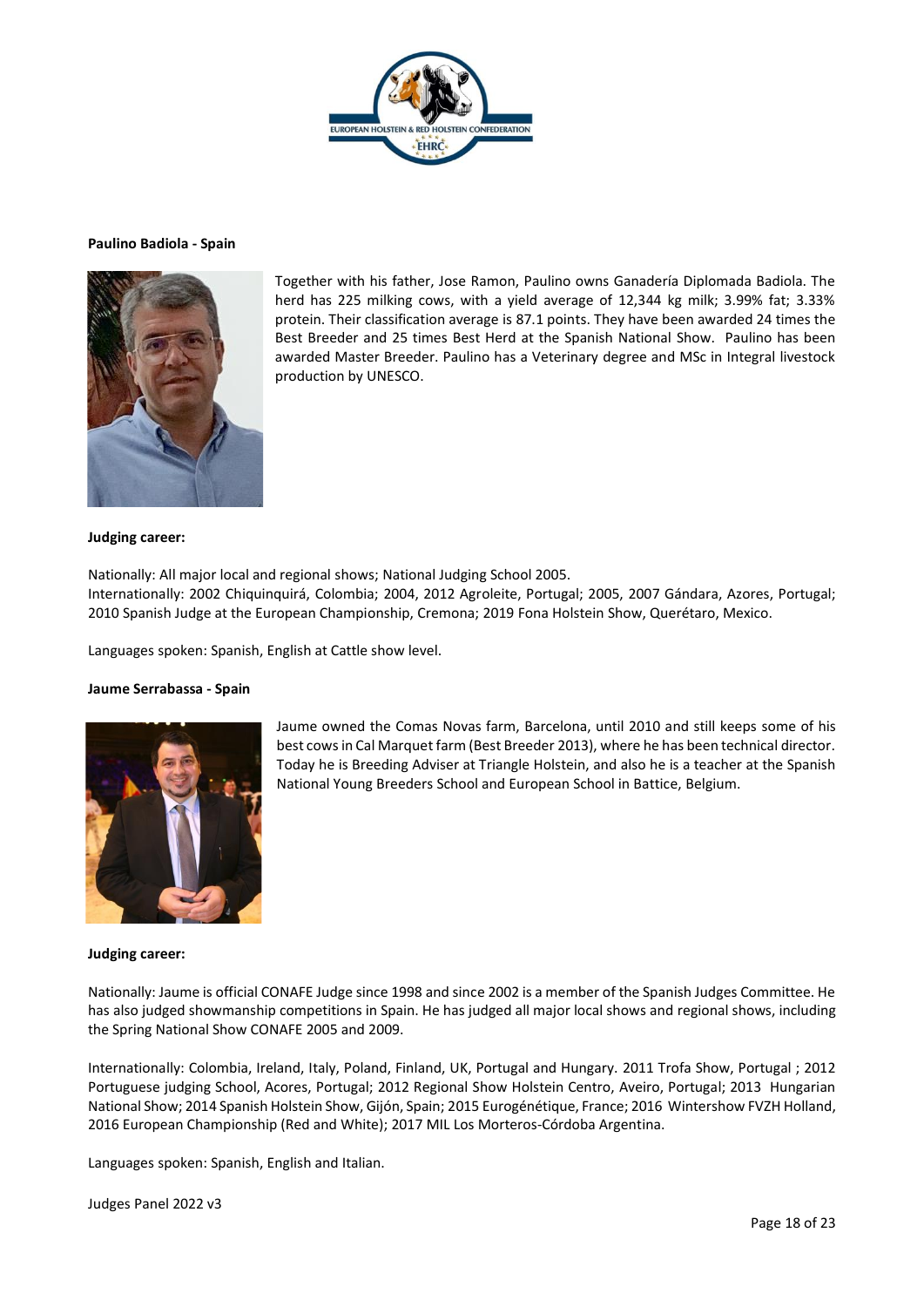

#### **Paulino Badiola - Spain**



Together with his father, Jose Ramon, Paulino owns Ganadería Diplomada Badiola. The herd has 225 milking cows, with a yield average of 12,344 kg milk; 3.99% fat; 3.33% protein. Their classification average is 87.1 points. They have been awarded 24 times the Best Breeder and 25 times Best Herd at the Spanish National Show. Paulino has been awarded Master Breeder. Paulino has a Veterinary degree and MSc in Integral livestock production by UNESCO.

## **Judging career:**

Nationally: All major local and regional shows; National Judging School 2005. Internationally: 2002 Chiquinquirá, Colombia; 2004, 2012 Agroleite, Portugal; 2005, 2007 Gándara, Azores, Portugal; 2010 Spanish Judge at the European Championship, Cremona; 2019 Fona Holstein Show, Querétaro, Mexico.

Languages spoken: Spanish, English at Cattle show level.

## **Jaume Serrabassa - Spain**



Jaume owned the Comas Novas farm, Barcelona, until 2010 and still keeps some of his best cows in Cal Marquet farm (Best Breeder 2013), where he has been technical director. Today he is Breeding Adviser at Triangle Holstein, and also he is a teacher at the Spanish National Young Breeders School and European School in Battice, Belgium.

#### **Judging career:**

Nationally: Jaume is official CONAFE Judge since 1998 and since 2002 is a member of the Spanish Judges Committee. He has also judged showmanship competitions in Spain. He has judged all major local shows and regional shows, including the Spring National Show CONAFE 2005 and 2009.

Internationally: Colombia, Ireland, Italy, Poland, Finland, UK, Portugal and Hungary. 2011 Trofa Show, Portugal ; 2012 Portuguese judging School, Acores, Portugal; 2012 Regional Show Holstein Centro, Aveiro, Portugal; 2013 Hungarian National Show; 2014 Spanish Holstein Show, Gijón, Spain; 2015 Eurogénétique, France; 2016 Wintershow FVZH Holland, 2016 European Championship (Red and White); 2017 MIL Los Morteros-Córdoba Argentina.

Languages spoken: Spanish, English and Italian.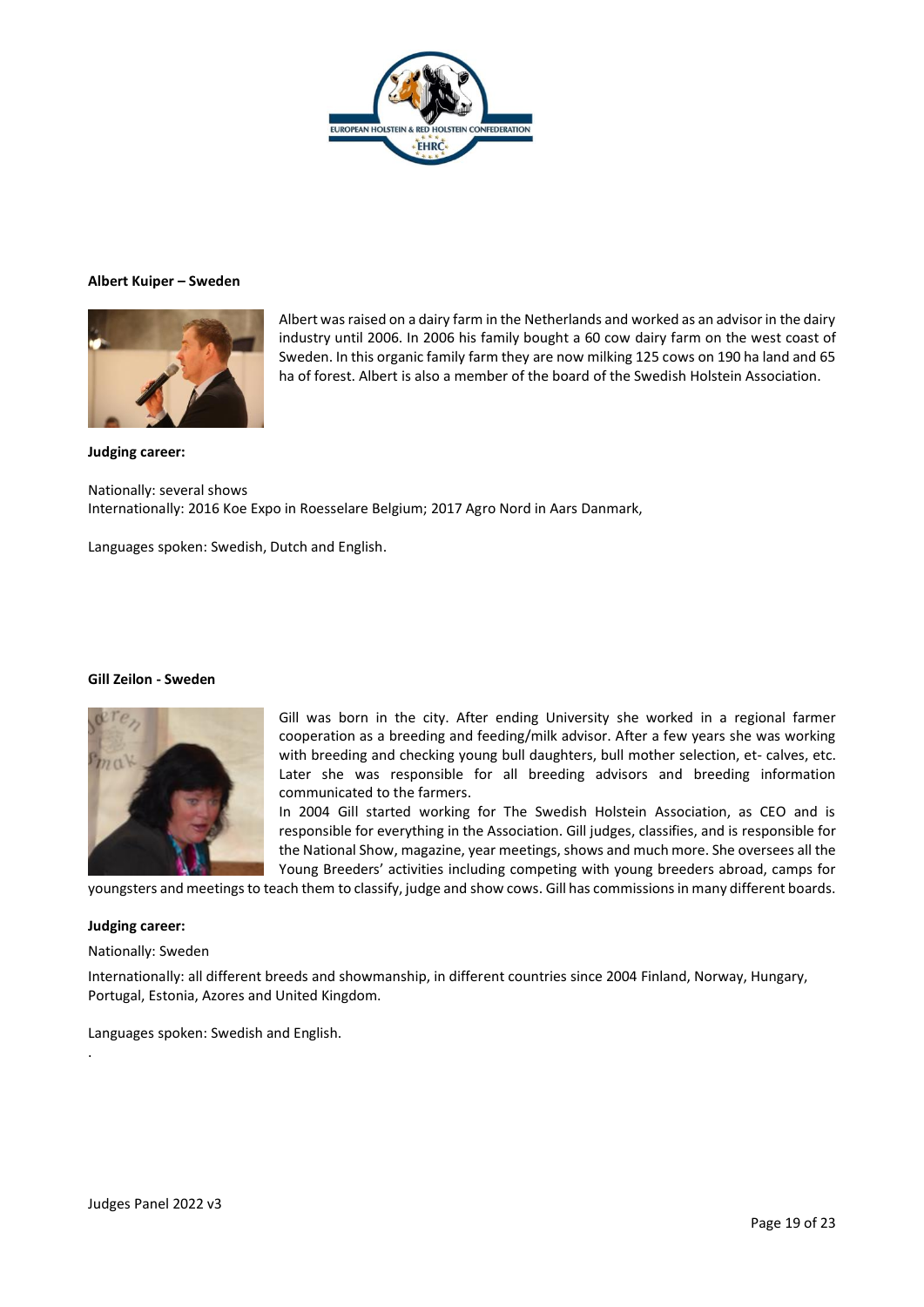

#### **Albert Kuiper – Sweden**



Albert was raised on a dairy farm in the Netherlands and worked as an advisor in the dairy industry until 2006. In 2006 his family bought a 60 cow dairy farm on the west coast of Sweden. In this organic family farm they are now milking 125 cows on 190 ha land and 65 ha of forest. Albert is also a member of the board of the Swedish Holstein Association.

**Judging career:**

Nationally: several shows Internationally: 2016 Koe Expo in Roesselare Belgium; 2017 Agro Nord in Aars Danmark,

Languages spoken: Swedish, Dutch and English.

#### **Gill Zeilon - Sweden**



Gill was born in the city. After ending University she worked in a regional farmer cooperation as a breeding and feeding/milk advisor. After a few years she was working with breeding and checking young bull daughters, bull mother selection, et- calves, etc. Later she was responsible for all breeding advisors and breeding information communicated to the farmers.

In 2004 Gill started working for The Swedish Holstein Association, as CEO and is responsible for everything in the Association. Gill judges, classifies, and is responsible for the National Show, magazine, year meetings, shows and much more. She oversees all the Young Breeders' activities including competing with young breeders abroad, camps for

youngsters and meetings to teach them to classify, judge and show cows. Gill has commissions in many different boards.

#### **Judging career:**

.

Nationally: Sweden

Internationally: all different breeds and showmanship, in different countries since 2004 Finland, Norway, Hungary, Portugal, Estonia, Azores and United Kingdom.

Languages spoken: Swedish and English.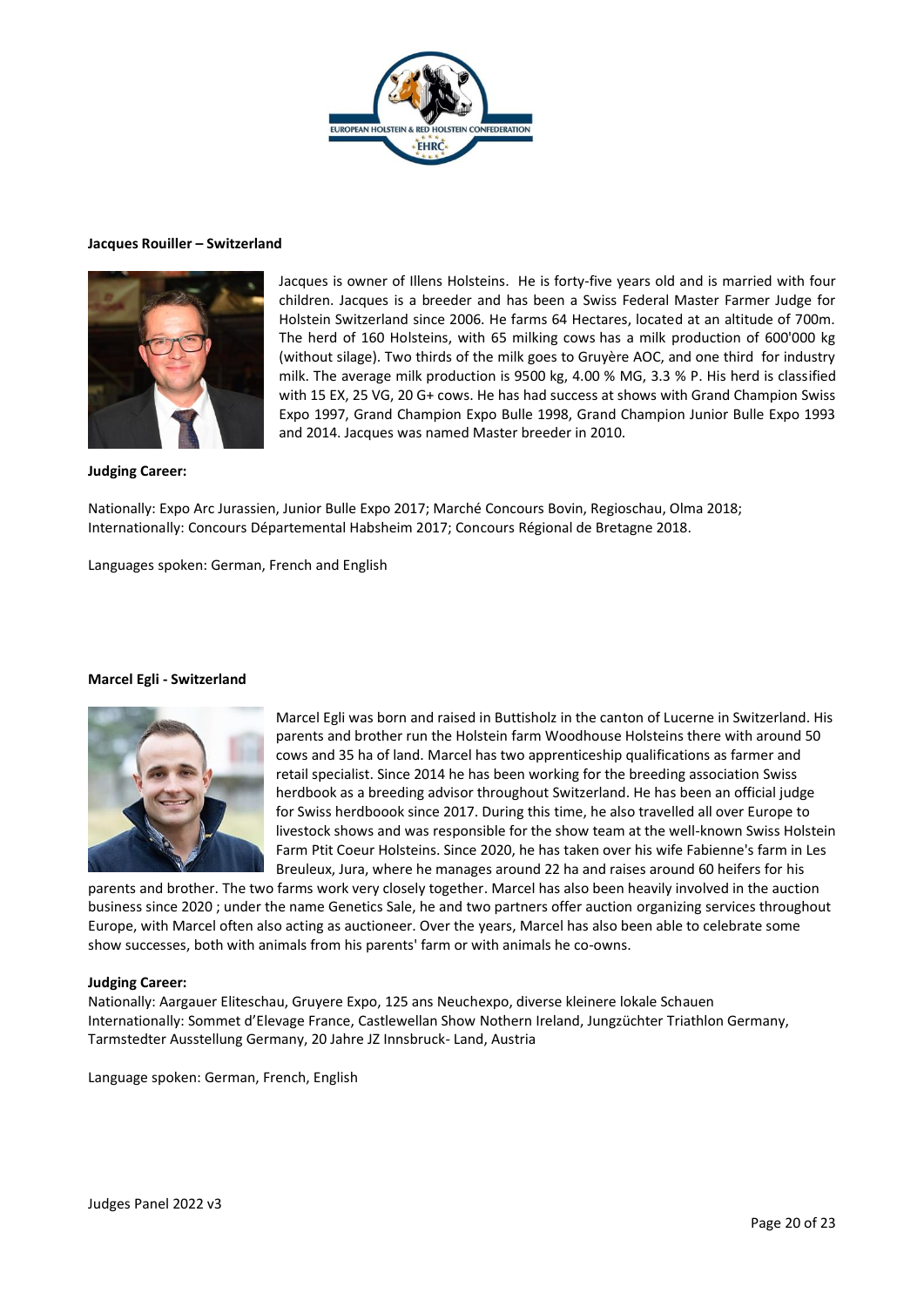

#### **Jacques Rouiller – Switzerland**



Jacques is owner of Illens Holsteins. He is forty-five years old and is married with four children. Jacques is a breeder and has been a Swiss Federal Master Farmer Judge for Holstein Switzerland since 2006. He farms 64 Hectares, located at an altitude of 700m. The herd of 160 Holsteins, with 65 milking cows has a milk production of 600'000 kg (without silage). Two thirds of the milk goes to Gruyère AOC, and one third for industry milk. The average milk production is 9500 kg, 4.00 % MG, 3.3 % P. His herd is classified with 15 EX, 25 VG, 20 G+ cows. He has had success at shows with Grand Champion Swiss Expo 1997, Grand Champion Expo Bulle 1998, Grand Champion Junior Bulle Expo 1993 and 2014. Jacques was named Master breeder in 2010.

## **Judging Career:**

Nationally: Expo Arc Jurassien, Junior Bulle Expo 2017; Marché Concours Bovin, Regioschau, Olma 2018; Internationally: Concours Départemental Habsheim 2017; Concours Régional de Bretagne 2018.

Languages spoken: German, French and English

#### **Marcel Egli - Switzerland**



Marcel Egli was born and raised in Buttisholz in the canton of Lucerne in Switzerland. His parents and brother run the Holstein farm Woodhouse Holsteins there with around 50 cows and 35 ha of land. Marcel has two apprenticeship qualifications as farmer and retail specialist. Since 2014 he has been working for the breeding association Swiss herdbook as a breeding advisor throughout Switzerland. He has been an official judge for Swiss herdboook since 2017. During this time, he also travelled all over Europe to livestock shows and was responsible for the show team at the well-known Swiss Holstein Farm Ptit Coeur Holsteins. Since 2020, he has taken over his wife Fabienne's farm in Les Breuleux, Jura, where he manages around 22 ha and raises around 60 heifers for his

parents and brother. The two farms work very closely together. Marcel has also been heavily involved in the auction business since 2020 ; under the name Genetics Sale, he and two partners offer auction organizing services throughout Europe, with Marcel often also acting as auctioneer. Over the years, Marcel has also been able to celebrate some show successes, both with animals from his parents' farm or with animals he co-owns.

## **Judging Career:**

Nationally: Aargauer Eliteschau, Gruyere Expo, 125 ans Neuchexpo, diverse kleinere lokale Schauen Internationally: Sommet d'Elevage France, Castlewellan Show Nothern Ireland, Jungzüchter Triathlon Germany, Tarmstedter Ausstellung Germany, 20 Jahre JZ Innsbruck- Land, Austria

Language spoken: German, French, English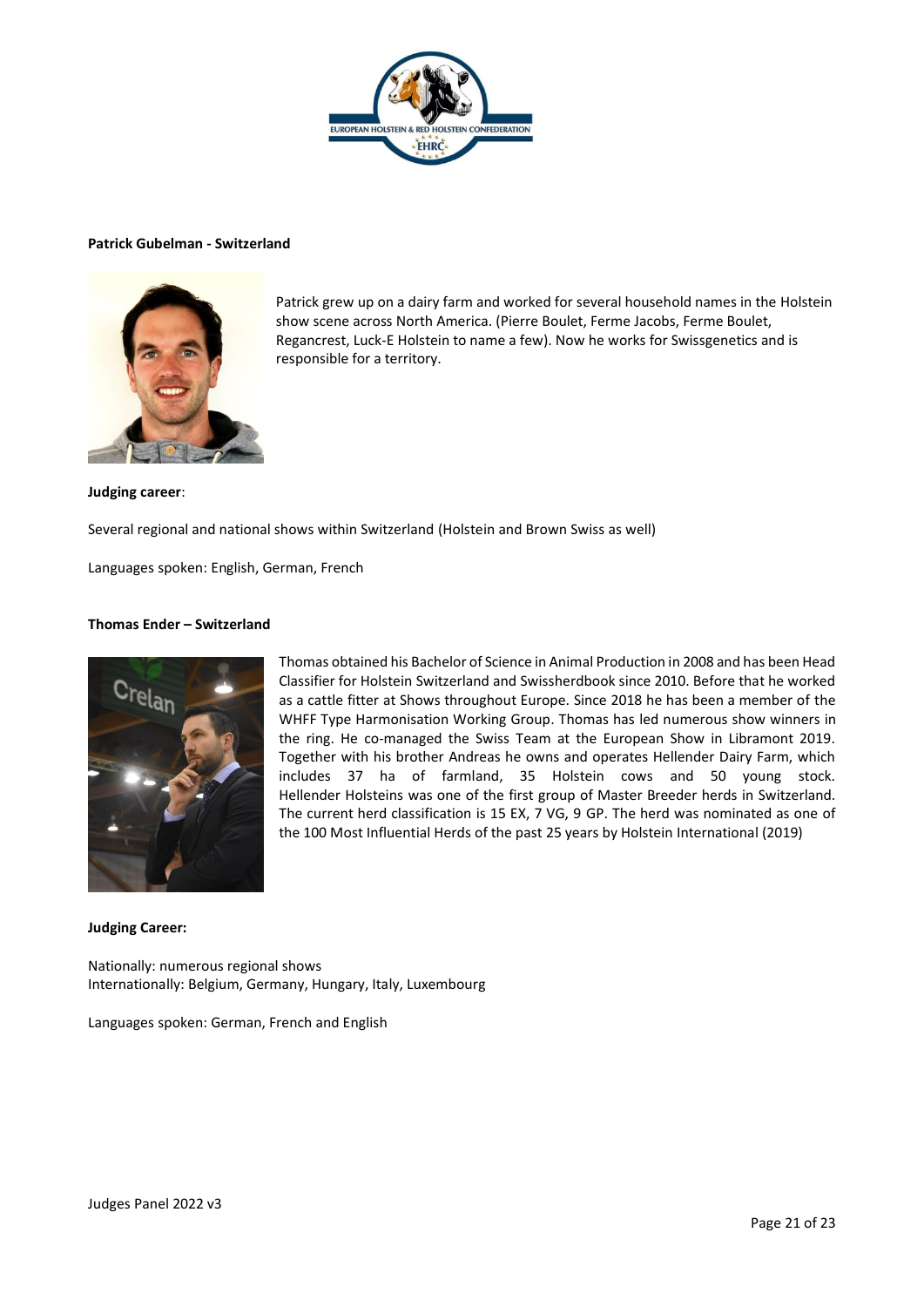

#### **Patrick Gubelman - Switzerland**



Patrick grew up on a dairy farm and worked for several household names in the Holstein show scene across North America. (Pierre Boulet, Ferme Jacobs, Ferme Boulet, Regancrest, Luck-E Holstein to name a few). Now he works for Swissgenetics and is responsible for a territory.

#### **Judging career**:

Several regional and national shows within Switzerland (Holstein and Brown Swiss as well)

Languages spoken: English, German, French

## **Thomas Ender – Switzerland**



Thomas obtained his Bachelor of Science in Animal Production in 2008 and has been Head Classifier for Holstein Switzerland and Swissherdbook since 2010. Before that he worked as a cattle fitter at Shows throughout Europe. Since 2018 he has been a member of the WHFF Type Harmonisation Working Group. Thomas has led numerous show winners in the ring. He co-managed the Swiss Team at the European Show in Libramont 2019. Together with his brother Andreas he owns and operates Hellender Dairy Farm, which includes 37 ha of farmland, 35 Holstein cows and 50 young stock. Hellender Holsteins was one of the first group of Master Breeder herds in Switzerland. The current herd classification is 15 EX, 7 VG, 9 GP. The herd was nominated as one of the 100 Most Influential Herds of the past 25 years by Holstein International (2019)

#### **Judging Career:**

Nationally: numerous regional shows Internationally: Belgium, Germany, Hungary, Italy, Luxembourg

Languages spoken: German, French and English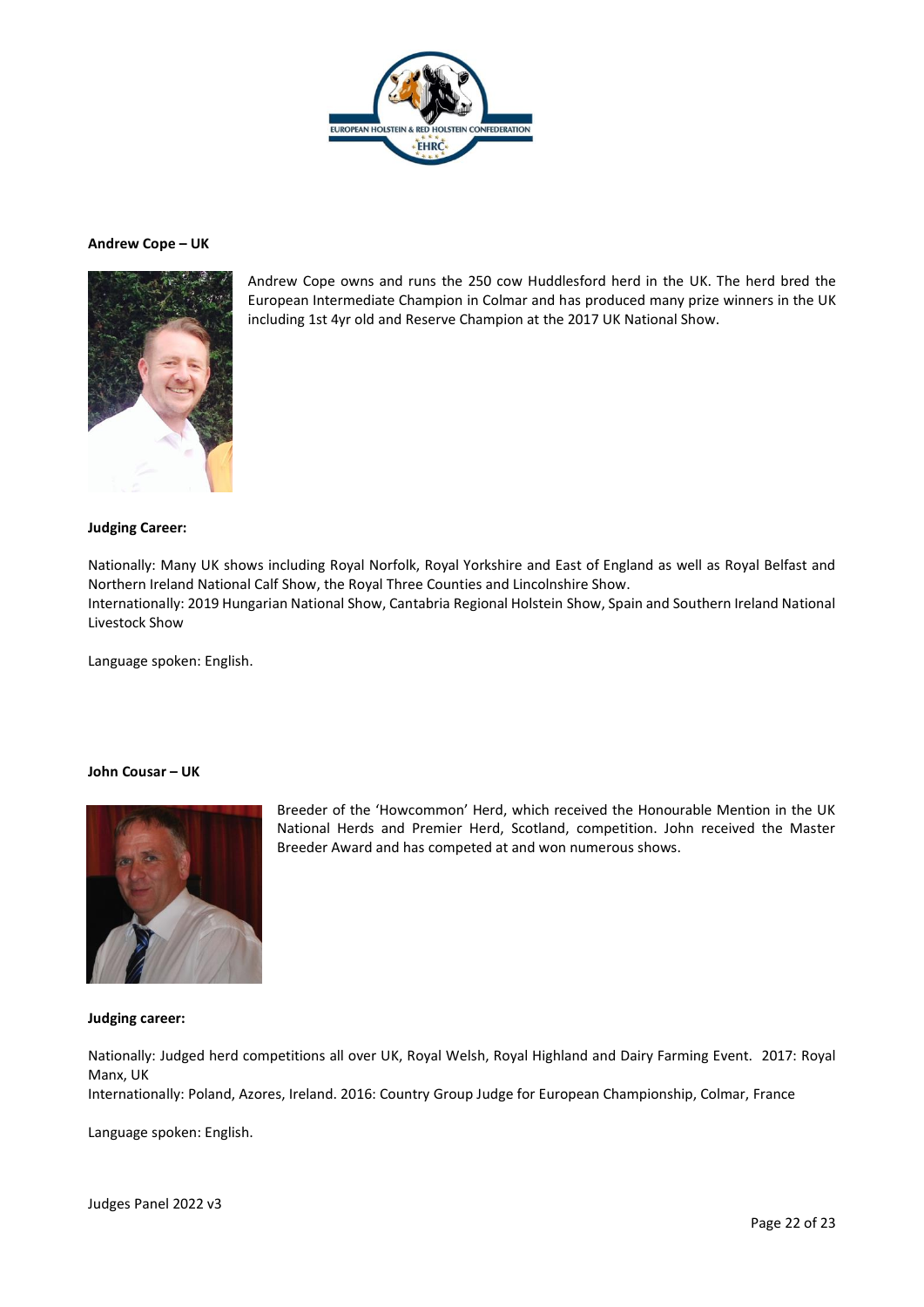

## **Andrew Cope – UK**



Andrew Cope owns and runs the 250 cow Huddlesford herd in the UK. The herd bred the European Intermediate Champion in Colmar and has produced many prize winners in the UK including 1st 4yr old and Reserve Champion at the 2017 UK National Show.

## **Judging Career:**

Nationally: Many UK shows including Royal Norfolk, Royal Yorkshire and East of England as well as Royal Belfast and Northern Ireland National Calf Show, the Royal Three Counties and Lincolnshire Show. Internationally: 2019 Hungarian National Show, Cantabria Regional Holstein Show, Spain and Southern Ireland National Livestock Show

Language spoken: English.

## **John Cousar – UK**



Breeder of the 'Howcommon' Herd, which received the Honourable Mention in the UK National Herds and Premier Herd, Scotland, competition. John received the Master Breeder Award and has competed at and won numerous shows.

## **Judging career:**

Nationally: Judged herd competitions all over UK, Royal Welsh, Royal Highland and Dairy Farming Event. 2017: Royal Manx, UK

Internationally: Poland, Azores, Ireland. 2016: Country Group Judge for European Championship, Colmar, France

Language spoken: English.